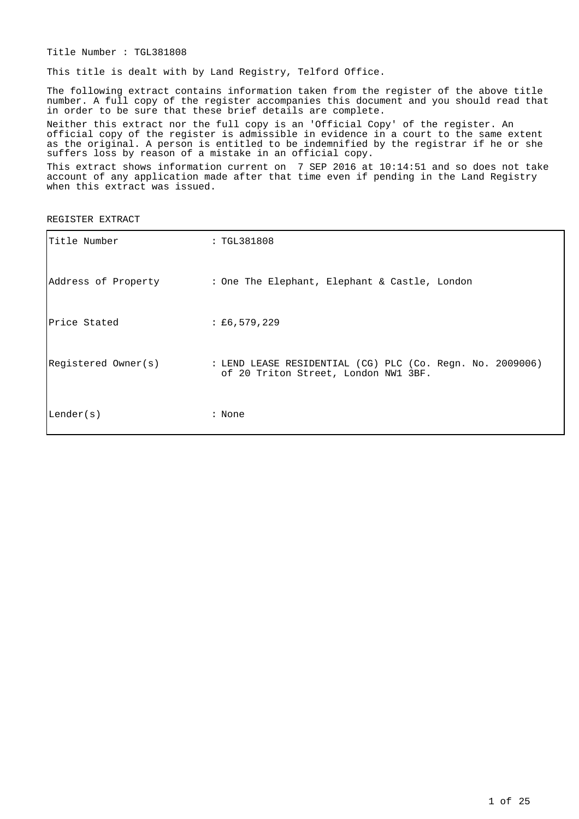Title Number : TGL381808

This title is dealt with by Land Registry, Telford Office.

The following extract contains information taken from the register of the above title number. A full copy of the register accompanies this document and you should read that in order to be sure that these brief details are complete.

Neither this extract nor the full copy is an 'Official Copy' of the register. An official copy of the register is admissible in evidence in a court to the same extent as the original. A person is entitled to be indemnified by the registrar if he or she suffers loss by reason of a mistake in an official copy.

This extract shows information current on 7 SEP 2016 at 10:14:51 and so does not take account of any application made after that time even if pending in the Land Registry when this extract was issued.

REGISTER EXTRACT

| Title Number        | : TGL381808                                                                                       |
|---------------------|---------------------------------------------------------------------------------------------------|
|                     | Address of Property : One The Elephant, Elephant & Castle, London                                 |
| Price Stated        | $\pm 6,579,229$                                                                                   |
| Registered Owner(s) | : LEND LEASE RESIDENTIAL (CG) PLC (Co. Reqn. No. 2009006)<br>of 20 Triton Street, London NW1 3BF. |
| Lender(s)           | : None                                                                                            |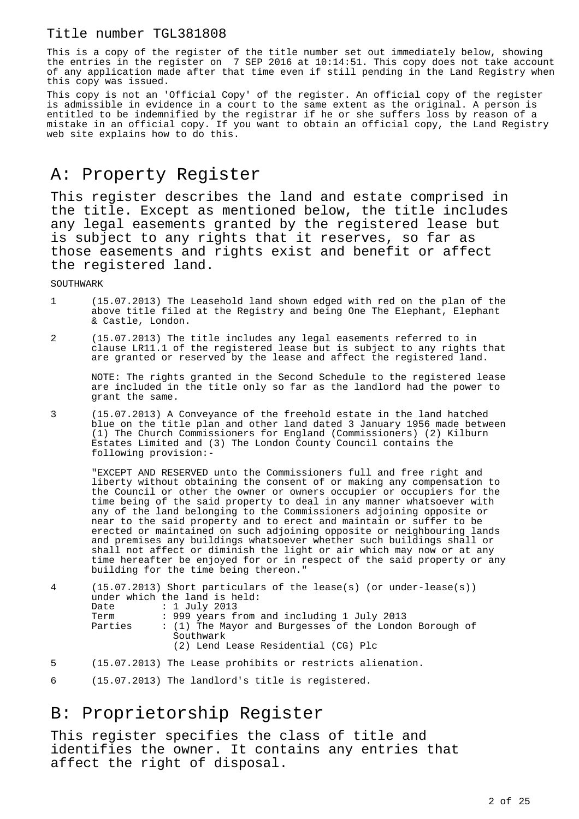This is a copy of the register of the title number set out immediately below, showing the entries in the register on 7 SEP 2016 at 10:14:51. This copy does not take account of any application made after that time even if still pending in the Land Registry when this copy was issued.

This copy is not an 'Official Copy' of the register. An official copy of the register is admissible in evidence in a court to the same extent as the original. A person is entitled to be indemnified by the registrar if he or she suffers loss by reason of a mistake in an official copy. If you want to obtain an official copy, the Land Registry web site explains how to do this.

# A: Property Register

This register describes the land and estate comprised in the title. Except as mentioned below, the title includes any legal easements granted by the registered lease but is subject to any rights that it reserves, so far as those easements and rights exist and benefit or affect the registered land.

SOUTHWARK

- 1 (15.07.2013) The Leasehold land shown edged with red on the plan of the above title filed at the Registry and being One The Elephant, Elephant & Castle, London.
- 2 (15.07.2013) The title includes any legal easements referred to in clause LR11.1 of the registered lease but is subject to any rights that are granted or reserved by the lease and affect the registered land.

NOTE: The rights granted in the Second Schedule to the registered lease are included in the title only so far as the landlord had the power to grant the same.

3 (15.07.2013) A Conveyance of the freehold estate in the land hatched blue on the title plan and other land dated 3 January 1956 made between (1) The Church Commissioners for England (Commissioners) (2) Kilburn Estates Limited and (3) The London County Council contains the following provision:-

"EXCEPT AND RESERVED unto the Commissioners full and free right and liberty without obtaining the consent of or making any compensation to the Council or other the owner or owners occupier or occupiers for the time being of the said property to deal in any manner whatsoever with any of the land belonging to the Commissioners adjoining opposite or near to the said property and to erect and maintain or suffer to be erected or maintained on such adjoining opposite or neighbouring lands and premises any buildings whatsoever whether such buildings shall or shall not affect or diminish the light or air which may now or at any time hereafter be enjoyed for or in respect of the said property or any building for the time being thereon."

| 4 | Date<br>Term<br>Parties | $(15.07.2013)$ Short particulars of the lease(s) (or under-lease(s))<br>under which the land is held:<br>: 1 July 2013<br>: 999 years from and including 1 July 2013<br>: (1) The Mayor and Burgesses of the London Borough of |
|---|-------------------------|--------------------------------------------------------------------------------------------------------------------------------------------------------------------------------------------------------------------------------|
| 5 |                         | Southwark<br>(2) Lend Lease Residential (CG) Plc<br>(15.07.2013) The Lease prohibits or restricts alienation.                                                                                                                  |

6 (15.07.2013) The landlord's title is registered.

## B: Proprietorship Register

This register specifies the class of title and identifies the owner. It contains any entries that affect the right of disposal.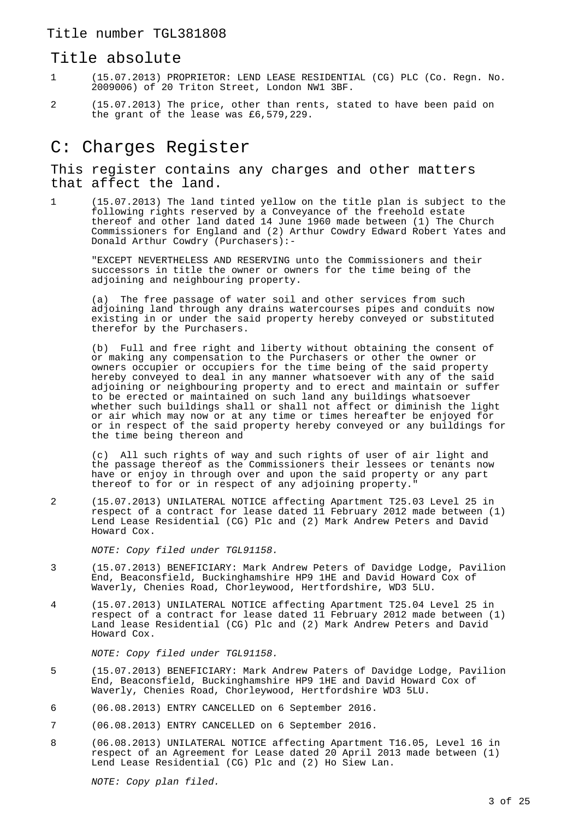#### Title absolute

- 1 (15.07.2013) PROPRIETOR: LEND LEASE RESIDENTIAL (CG) PLC (Co. Regn. No. 2009006) of 20 Triton Street, London NW1 3BF.
- 2 (15.07.2013) The price, other than rents, stated to have been paid on the grant of the lease was £6,579,229.

# C: Charges Register

This register contains any charges and other matters that affect the land.

1 (15.07.2013) The land tinted yellow on the title plan is subject to the following rights reserved by a Conveyance of the freehold estate thereof and other land dated 14 June 1960 made between (1) The Church Commissioners for England and (2) Arthur Cowdry Edward Robert Yates and Donald Arthur Cowdry (Purchasers):-

"EXCEPT NEVERTHELESS AND RESERVING unto the Commissioners and their successors in title the owner or owners for the time being of the adjoining and neighbouring property.

(a) The free passage of water soil and other services from such adjoining land through any drains watercourses pipes and conduits now existing in or under the said property hereby conveyed or substituted therefor by the Purchasers.

(b) Full and free right and liberty without obtaining the consent of or making any compensation to the Purchasers or other the owner or owners occupier or occupiers for the time being of the said property hereby conveyed to deal in any manner whatsoever with any of the said adjoining or neighbouring property and to erect and maintain or suffer to be erected or maintained on such land any buildings whatsoever whether such buildings shall or shall not affect or diminish the light or air which may now or at any time or times hereafter be enjoyed for or in respect of the said property hereby conveyed or any buildings for the time being thereon and

(c) All such rights of way and such rights of user of air light and the passage thereof as the Commissioners their lessees or tenants now have or enjoy in through over and upon the said property or any part thereof to for or in respect of any adjoining property."

2 (15.07.2013) UNILATERAL NOTICE affecting Apartment T25.03 Level 25 in respect of a contract for lease dated 11 February 2012 made between (1) Lend Lease Residential (CG) Plc and (2) Mark Andrew Peters and David Howard Cox.

NOTE: Copy filed under TGL91158.

- 3 (15.07.2013) BENEFICIARY: Mark Andrew Peters of Davidge Lodge, Pavilion End, Beaconsfield, Buckinghamshire HP9 1HE and David Howard Cox of Waverly, Chenies Road, Chorleywood, Hertfordshire, WD3 5LU.
- 4 (15.07.2013) UNILATERAL NOTICE affecting Apartment T25.04 Level 25 in respect of a contract for lease dated 11 February 2012 made between (1) Land lease Residential (CG) Plc and (2) Mark Andrew Peters and David Howard Cox.

NOTE: Copy filed under TGL91158.

- 5 (15.07.2013) BENEFICIARY: Mark Andrew Paters of Davidge Lodge, Pavilion End, Beaconsfield, Buckinghamshire HP9 1HE and David Howard Cox of Waverly, Chenies Road, Chorleywood, Hertfordshire WD3 5LU.
- 6 (06.08.2013) ENTRY CANCELLED on 6 September 2016.
- 7 (06.08.2013) ENTRY CANCELLED on 6 September 2016.
- 8 (06.08.2013) UNILATERAL NOTICE affecting Apartment T16.05, Level 16 in respect of an Agreement for Lease dated 20 April 2013 made between (1) Lend Lease Residential (CG) Plc and (2) Ho Siew Lan.

NOTE: Copy plan filed.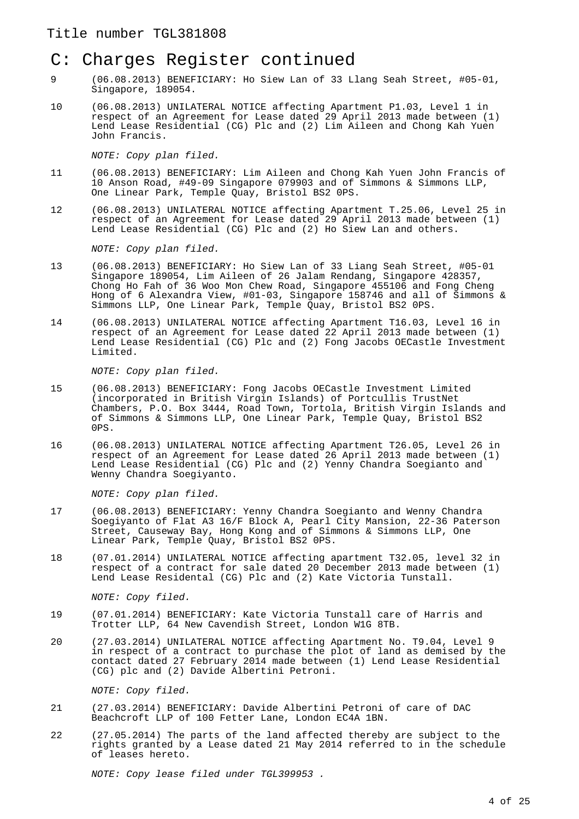# C: Charges Register continued

- 9 (06.08.2013) BENEFICIARY: Ho Siew Lan of 33 Llang Seah Street, #05-01, Singapore, 189054.
- 10 (06.08.2013) UNILATERAL NOTICE affecting Apartment P1.03, Level 1 in respect of an Agreement for Lease dated 29 April 2013 made between (1) Lend Lease Residential (CG) Plc and (2) Lim Aileen and Chong Kah Yuen John Francis.

NOTE: Copy plan filed.

- 11 (06.08.2013) BENEFICIARY: Lim Aileen and Chong Kah Yuen John Francis of 10 Anson Road, #49-09 Singapore 079903 and of Simmons & Simmons LLP, One Linear Park, Temple Quay, Bristol BS2 0PS.
- 12 (06.08.2013) UNILATERAL NOTICE affecting Apartment T.25.06, Level 25 in respect of an Agreement for Lease dated 29 April 2013 made between (1) Lend Lease Residential (CG) Plc and (2) Ho Siew Lan and others.

NOTE: Copy plan filed.

- 13 (06.08.2013) BENEFICIARY: Ho Siew Lan of 33 Liang Seah Street, #05-01 Singapore 189054, Lim Aileen of 26 Jalam Rendang, Singapore 428357, Chong Ho Fah of 36 Woo Mon Chew Road, Singapore 455106 and Fong Cheng Hong of 6 Alexandra View, #01-03, Singapore 158746 and all of Simmons & Simmons LLP, One Linear Park, Temple Quay, Bristol BS2 0PS.
- 14 (06.08.2013) UNILATERAL NOTICE affecting Apartment T16.03, Level 16 in respect of an Agreement for Lease dated 22 April 2013 made between (1) Lend Lease Residential (CG) Plc and (2) Fong Jacobs OECastle Investment Limited.

NOTE: Copy plan filed.

- 15 (06.08.2013) BENEFICIARY: Fong Jacobs OECastle Investment Limited (incorporated in British Virgin Islands) of Portcullis TrustNet Chambers, P.O. Box 3444, Road Town, Tortola, British Virgin Islands and of Simmons & Simmons LLP, One Linear Park, Temple Quay, Bristol BS2 0PS.
- 16 (06.08.2013) UNILATERAL NOTICE affecting Apartment T26.05, Level 26 in respect of an Agreement for Lease dated 26 April 2013 made between (1) Lend Lease Residential (CG) Plc and (2) Yenny Chandra Soegianto and Wenny Chandra Soegiyanto.

NOTE: Copy plan filed.

- 17 (06.08.2013) BENEFICIARY: Yenny Chandra Soegianto and Wenny Chandra Soegiyanto of Flat A3 16/F Block A, Pearl City Mansion, 22-36 Paterson Street, Causeway Bay, Hong Kong and of Simmons & Simmons LLP, One Linear Park, Temple Quay, Bristol BS2 0PS.
- 18 (07.01.2014) UNILATERAL NOTICE affecting apartment T32.05, level 32 in respect of a contract for sale dated 20 December 2013 made between (1) Lend Lease Residental (CG) Plc and (2) Kate Victoria Tunstall.

NOTE: Copy filed.

- 19 (07.01.2014) BENEFICIARY: Kate Victoria Tunstall care of Harris and Trotter LLP, 64 New Cavendish Street, London W1G 8TB.
- 20 (27.03.2014) UNILATERAL NOTICE affecting Apartment No. T9.04, Level 9 in respect of a contract to purchase the plot of land as demised by the contact dated 27 February 2014 made between (1) Lend Lease Residential (CG) plc and (2) Davide Albertini Petroni.

NOTE: Copy filed.

- 21 (27.03.2014) BENEFICIARY: Davide Albertini Petroni of care of DAC Beachcroft LLP of 100 Fetter Lane, London EC4A 1BN.
- 22 (27.05.2014) The parts of the land affected thereby are subject to the rights granted by a Lease dated 21 May 2014 referred to in the schedule of leases hereto.

NOTE: Copy lease filed under TGL399953 .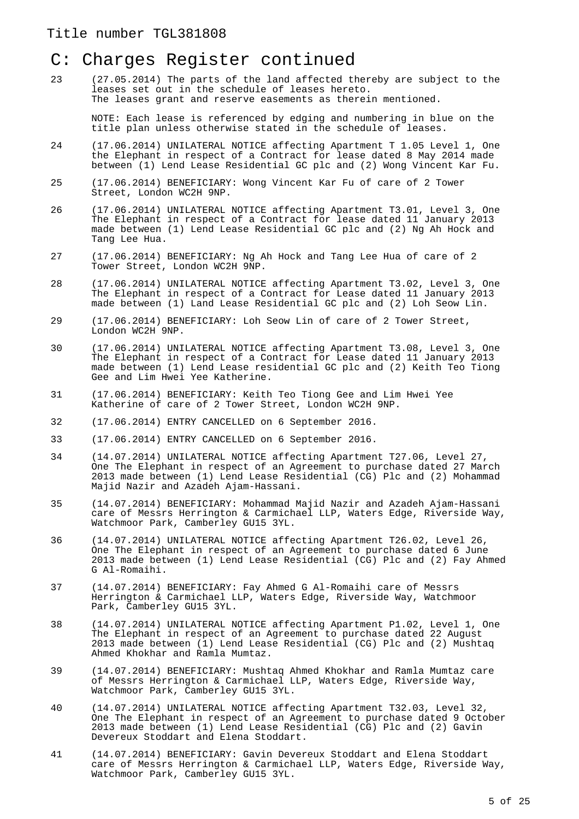# C: Charges Register continued

23 (27.05.2014) The parts of the land affected thereby are subject to the leases set out in the schedule of leases hereto. The leases grant and reserve easements as therein mentioned.

NOTE: Each lease is referenced by edging and numbering in blue on the title plan unless otherwise stated in the schedule of leases.

- 24 (17.06.2014) UNILATERAL NOTICE affecting Apartment T 1.05 Level 1, One the Elephant in respect of a Contract for lease dated 8 May 2014 made between (1) Lend Lease Residential GC plc and (2) Wong Vincent Kar Fu.
- 25 (17.06.2014) BENEFICIARY: Wong Vincent Kar Fu of care of 2 Tower Street, London WC2H 9NP.
- 26 (17.06.2014) UNILATERAL NOTICE affecting Apartment T3.01, Level 3, One The Elephant in respect of a Contract for lease dated 11 January 2013 made between (1) Lend Lease Residential GC plc and (2) Ng Ah Hock and Tang Lee Hua.
- 27 (17.06.2014) BENEFICIARY: Ng Ah Hock and Tang Lee Hua of care of 2 Tower Street, London WC2H 9NP.
- 28 (17.06.2014) UNILATERAL NOTICE affecting Apartment T3.02, Level 3, One The Elephant in respect of a Contract for Lease dated 11 January 2013 made between (1) Land Lease Residential GC plc and (2) Loh Seow Lin.
- 29 (17.06.2014) BENEFICIARY: Loh Seow Lin of care of 2 Tower Street, London WC2H 9NP.
- 30 (17.06.2014) UNILATERAL NOTICE affecting Apartment T3.08, Level 3, One The Elephant in respect of a Contract for Lease dated 11 January 2013 made between (1) Lend Lease residential GC plc and (2) Keith Teo Tiong Gee and Lim Hwei Yee Katherine.
- 31 (17.06.2014) BENEFICIARY: Keith Teo Tiong Gee and Lim Hwei Yee Katherine of care of 2 Tower Street, London WC2H 9NP.
- 32 (17.06.2014) ENTRY CANCELLED on 6 September 2016.
- 33 (17.06.2014) ENTRY CANCELLED on 6 September 2016.
- 34 (14.07.2014) UNILATERAL NOTICE affecting Apartment T27.06, Level 27, One The Elephant in respect of an Agreement to purchase dated 27 March 2013 made between (1) Lend Lease Residential (CG) Plc and (2) Mohammad Majid Nazir and Azadeh Ajam-Hassani.
- 35 (14.07.2014) BENEFICIARY: Mohammad Majid Nazir and Azadeh Ajam-Hassani care of Messrs Herrington & Carmichael LLP, Waters Edge, Riverside Way, Watchmoor Park, Camberley GU15 3YL.
- 36 (14.07.2014) UNILATERAL NOTICE affecting Apartment T26.02, Level 26, One The Elephant in respect of an Agreement to purchase dated 6 June 2013 made between (1) Lend Lease Residential (CG) Plc and (2) Fay Ahmed G Al-Romaihi.
- 37 (14.07.2014) BENEFICIARY: Fay Ahmed G Al-Romaihi care of Messrs Herrington & Carmichael LLP, Waters Edge, Riverside Way, Watchmoor Park, Camberley GU15 3YL.
- 38 (14.07.2014) UNILATERAL NOTICE affecting Apartment P1.02, Level 1, One The Elephant in respect of an Agreement to purchase dated 22 August 2013 made between (1) Lend Lease Residential (CG) Plc and (2) Mushtaq Ahmed Khokhar and Ramla Mumtaz.
- 39 (14.07.2014) BENEFICIARY: Mushtaq Ahmed Khokhar and Ramla Mumtaz care of Messrs Herrington & Carmichael LLP, Waters Edge, Riverside Way, Watchmoor Park, Camberley GU15 3YL.
- 40 (14.07.2014) UNILATERAL NOTICE affecting Apartment T32.03, Level 32, One The Elephant in respect of an Agreement to purchase dated 9 October 2013 made between (1) Lend Lease Residential (CG) Plc and (2) Gavin Devereux Stoddart and Elena Stoddart.
- 41 (14.07.2014) BENEFICIARY: Gavin Devereux Stoddart and Elena Stoddart care of Messrs Herrington & Carmichael LLP, Waters Edge, Riverside Way, Watchmoor Park, Camberley GU15 3YL.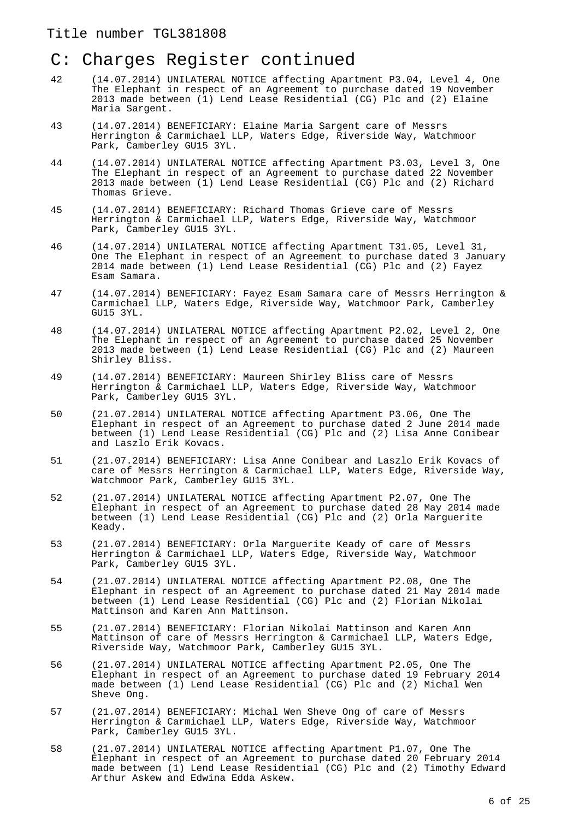- 42 (14.07.2014) UNILATERAL NOTICE affecting Apartment P3.04, Level 4, One The Elephant in respect of an Agreement to purchase dated 19 November 2013 made between (1) Lend Lease Residential (CG) Plc and (2) Elaine Maria Sargent.
- 43 (14.07.2014) BENEFICIARY: Elaine Maria Sargent care of Messrs Herrington & Carmichael LLP, Waters Edge, Riverside Way, Watchmoor Park, Camberley GU15 3YL.
- 44 (14.07.2014) UNILATERAL NOTICE affecting Apartment P3.03, Level 3, One The Elephant in respect of an Agreement to purchase dated 22 November 2013 made between (1) Lend Lease Residential (CG) Plc and (2) Richard Thomas Grieve.
- 45 (14.07.2014) BENEFICIARY: Richard Thomas Grieve care of Messrs Herrington & Carmichael LLP, Waters Edge, Riverside Way, Watchmoor Park, Camberley GU15 3YL.
- 46 (14.07.2014) UNILATERAL NOTICE affecting Apartment T31.05, Level 31, One The Elephant in respect of an Agreement to purchase dated 3 January 2014 made between (1) Lend Lease Residential (CG) Plc and (2) Fayez Esam Samara.
- 47 (14.07.2014) BENEFICIARY: Fayez Esam Samara care of Messrs Herrington & Carmichael LLP, Waters Edge, Riverside Way, Watchmoor Park, Camberley GU15 3YL.
- 48 (14.07.2014) UNILATERAL NOTICE affecting Apartment P2.02, Level 2, One The Elephant in respect of an Agreement to purchase dated 25 November 2013 made between (1) Lend Lease Residential (CG) Plc and (2) Maureen Shirley Bliss.
- 49 (14.07.2014) BENEFICIARY: Maureen Shirley Bliss care of Messrs Herrington & Carmichael LLP, Waters Edge, Riverside Way, Watchmoor Park, Camberley GU15 3YL.
- 50 (21.07.2014) UNILATERAL NOTICE affecting Apartment P3.06, One The Elephant in respect of an Agreement to purchase dated 2 June 2014 made between (1) Lend Lease Residential (CG) Plc and (2) Lisa Anne Conibear and Laszlo Erik Kovacs.
- 51 (21.07.2014) BENEFICIARY: Lisa Anne Conibear and Laszlo Erik Kovacs of care of Messrs Herrington & Carmichael LLP, Waters Edge, Riverside Way, Watchmoor Park, Camberley GU15 3YL.
- 52 (21.07.2014) UNILATERAL NOTICE affecting Apartment P2.07, One The Elephant in respect of an Agreement to purchase dated 28 May 2014 made between (1) Lend Lease Residential (CG) Plc and (2) Orla Marguerite Keady.
- 53 (21.07.2014) BENEFICIARY: Orla Marguerite Keady of care of Messrs Herrington & Carmichael LLP, Waters Edge, Riverside Way, Watchmoor Park, Camberley GU15 3YL.
- 54 (21.07.2014) UNILATERAL NOTICE affecting Apartment P2.08, One The Elephant in respect of an Agreement to purchase dated 21 May 2014 made between (1) Lend Lease Residential (CG) Plc and (2) Florian Nikolai Mattinson and Karen Ann Mattinson.
- 55 (21.07.2014) BENEFICIARY: Florian Nikolai Mattinson and Karen Ann Mattinson of care of Messrs Herrington & Carmichael LLP, Waters Edge, Riverside Way, Watchmoor Park, Camberley GU15 3YL.
- 56 (21.07.2014) UNILATERAL NOTICE affecting Apartment P2.05, One The Elephant in respect of an Agreement to purchase dated 19 February 2014 made between (1) Lend Lease Residential (CG) Plc and (2) Michal Wen Sheve Ong.
- 57 (21.07.2014) BENEFICIARY: Michal Wen Sheve Ong of care of Messrs Herrington & Carmichael LLP, Waters Edge, Riverside Way, Watchmoor Park, Camberley GU15 3YL.
- 58 (21.07.2014) UNILATERAL NOTICE affecting Apartment P1.07, One The Elephant in respect of an Agreement to purchase dated 20 February 2014 made between (1) Lend Lease Residential (CG) Plc and (2) Timothy Edward Arthur Askew and Edwina Edda Askew.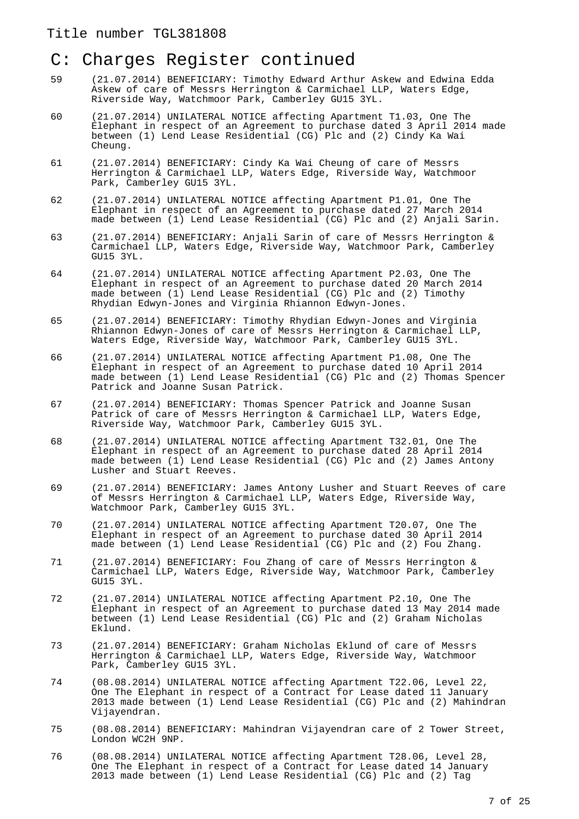- 59 (21.07.2014) BENEFICIARY: Timothy Edward Arthur Askew and Edwina Edda Askew of care of Messrs Herrington & Carmichael LLP, Waters Edge, Riverside Way, Watchmoor Park, Camberley GU15 3YL.
- 60 (21.07.2014) UNILATERAL NOTICE affecting Apartment T1.03, One The Elephant in respect of an Agreement to purchase dated 3 April 2014 made between (1) Lend Lease Residential (CG) Plc and (2) Cindy Ka Wai Cheung.
- 61 (21.07.2014) BENEFICIARY: Cindy Ka Wai Cheung of care of Messrs Herrington & Carmichael LLP, Waters Edge, Riverside Way, Watchmoor Park, Camberley GU15 3YL.
- 62 (21.07.2014) UNILATERAL NOTICE affecting Apartment P1.01, One The Elephant in respect of an Agreement to purchase dated 27 March 2014 made between (1) Lend Lease Residential (CG) Plc and (2) Anjali Sarin.
- 63 (21.07.2014) BENEFICIARY: Anjali Sarin of care of Messrs Herrington & Carmichael LLP, Waters Edge, Riverside Way, Watchmoor Park, Camberley GU15 3YL.
- 64 (21.07.2014) UNILATERAL NOTICE affecting Apartment P2.03, One The Elephant in respect of an Agreement to purchase dated 20 March 2014 made between (1) Lend Lease Residential (CG) Plc and (2) Timothy Rhydian Edwyn-Jones and Virginia Rhiannon Edwyn-Jones.
- 65 (21.07.2014) BENEFICIARY: Timothy Rhydian Edwyn-Jones and Virginia Rhiannon Edwyn-Jones of care of Messrs Herrington & Carmichael LLP, Waters Edge, Riverside Way, Watchmoor Park, Camberley GU15 3YL.
- 66 (21.07.2014) UNILATERAL NOTICE affecting Apartment P1.08, One The Elephant in respect of an Agreement to purchase dated 10 April 2014 made between (1) Lend Lease Residential (CG) Plc and (2) Thomas Spencer Patrick and Joanne Susan Patrick.
- 67 (21.07.2014) BENEFICIARY: Thomas Spencer Patrick and Joanne Susan Patrick of care of Messrs Herrington & Carmichael LLP, Waters Edge, Riverside Way, Watchmoor Park, Camberley GU15 3YL.
- 68 (21.07.2014) UNILATERAL NOTICE affecting Apartment T32.01, One The Elephant in respect of an Agreement to purchase dated 28 April 2014 made between (1) Lend Lease Residential (CG) Plc and (2) James Antony Lusher and Stuart Reeves.
- 69 (21.07.2014) BENEFICIARY: James Antony Lusher and Stuart Reeves of care of Messrs Herrington & Carmichael LLP, Waters Edge, Riverside Way, Watchmoor Park, Camberley GU15 3YL.
- 70 (21.07.2014) UNILATERAL NOTICE affecting Apartment T20.07, One The Elephant in respect of an Agreement to purchase dated 30 April 2014 made between (1) Lend Lease Residential (CG) Plc and (2) Fou Zhang.
- 71 (21.07.2014) BENEFICIARY: Fou Zhang of care of Messrs Herrington & Carmichael LLP, Waters Edge, Riverside Way, Watchmoor Park, Camberley GU15 3YL.
- 72 (21.07.2014) UNILATERAL NOTICE affecting Apartment P2.10, One The Elephant in respect of an Agreement to purchase dated 13 May 2014 made between (1) Lend Lease Residential (CG) Plc and (2) Graham Nicholas Eklund.
- 73 (21.07.2014) BENEFICIARY: Graham Nicholas Eklund of care of Messrs Herrington & Carmichael LLP, Waters Edge, Riverside Way, Watchmoor Park, Camberley GU15 3YL.
- 74 (08.08.2014) UNILATERAL NOTICE affecting Apartment T22.06, Level 22, One The Elephant in respect of a Contract for Lease dated 11 January 2013 made between (1) Lend Lease Residential (CG) Plc and (2) Mahindran Vijayendran.
- 75 (08.08.2014) BENEFICIARY: Mahindran Vijayendran care of 2 Tower Street, London WC2H 9NP.
- 76 (08.08.2014) UNILATERAL NOTICE affecting Apartment T28.06, Level 28, One The Elephant in respect of a Contract for Lease dated 14 January 2013 made between (1) Lend Lease Residential (CG) Plc and (2) Tag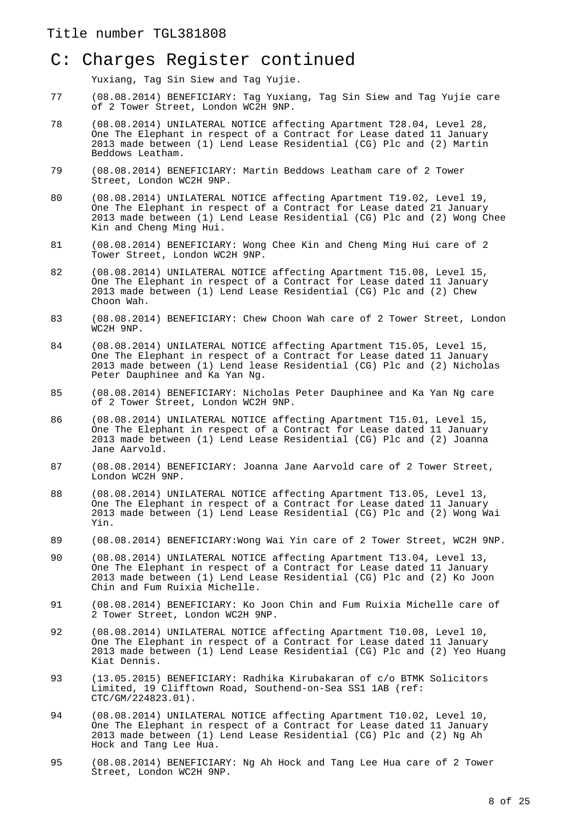Yuxiang, Tag Sin Siew and Tag Yujie.

- 77 (08.08.2014) BENEFICIARY: Tag Yuxiang, Tag Sin Siew and Tag Yujie care of 2 Tower Street, London WC2H 9NP.
- 78 (08.08.2014) UNILATERAL NOTICE affecting Apartment T28.04, Level 28, One The Elephant in respect of a Contract for Lease dated 11 January 2013 made between (1) Lend Lease Residential (CG) Plc and (2) Martin Beddows Leatham.
- 79 (08.08.2014) BENEFICIARY: Martin Beddows Leatham care of 2 Tower Street, London WC2H 9NP.
- 80 (08.08.2014) UNILATERAL NOTICE affecting Apartment T19.02, Level 19, One The Elephant in respect of a Contract for Lease dated 21 January 2013 made between (1) Lend Lease Residential (CG) Plc and (2) Wong Chee Kin and Cheng Ming Hui.
- 81 (08.08.2014) BENEFICIARY: Wong Chee Kin and Cheng Ming Hui care of 2 Tower Street, London WC2H 9NP.
- 82 (08.08.2014) UNILATERAL NOTICE affecting Apartment T15.08, Level 15, One The Elephant in respect of a Contract for Lease dated 11 January 2013 made between (1) Lend Lease Residential (CG) Plc and (2) Chew Choon Wah.
- 83 (08.08.2014) BENEFICIARY: Chew Choon Wah care of 2 Tower Street, London WC2H 9NP.
- 84 (08.08.2014) UNILATERAL NOTICE affecting Apartment T15.05, Level 15, One The Elephant in respect of a Contract for Lease dated 11 January 2013 made between (1) Lend lease Residential (CG) Plc and (2) Nicholas Peter Dauphinee and Ka Yan Ng.
- 85 (08.08.2014) BENEFICIARY: Nicholas Peter Dauphinee and Ka Yan Ng care of 2 Tower Street, London WC2H 9NP.
- 86 (08.08.2014) UNILATERAL NOTICE affecting Apartment T15.01, Level 15, One The Elephant in respect of a Contract for Lease dated 11 January 2013 made between (1) Lend Lease Residential (CG) Plc and (2) Joanna Jane Aarvold.
- 87 (08.08.2014) BENEFICIARY: Joanna Jane Aarvold care of 2 Tower Street, London WC2H 9NP.
- 88 (08.08.2014) UNILATERAL NOTICE affecting Apartment T13.05, Level 13, One The Elephant in respect of a Contract for Lease dated 11 January 2013 made between (1) Lend Lease Residential (CG) Plc and (2) Wong Wai Yin.
- 89 (08.08.2014) BENEFICIARY:Wong Wai Yin care of 2 Tower Street, WC2H 9NP.
- 90 (08.08.2014) UNILATERAL NOTICE affecting Apartment T13.04, Level 13, One The Elephant in respect of a Contract for Lease dated 11 January 2013 made between (1) Lend Lease Residential (CG) Plc and (2) Ko Joon Chin and Fum Ruixia Michelle.
- 91 (08.08.2014) BENEFICIARY: Ko Joon Chin and Fum Ruixia Michelle care of 2 Tower Street, London WC2H 9NP.
- 92 (08.08.2014) UNILATERAL NOTICE affecting Apartment T10.08, Level 10, One The Elephant in respect of a Contract for Lease dated 11 January 2013 made between (1) Lend Lease Residential (CG) Plc and (2) Yeo Huang Kiat Dennis.
- 93 (13.05.2015) BENEFICIARY: Radhika Kirubakaran of c/o BTMK Solicitors Limited, 19 Clifftown Road, Southend-on-Sea SS1 1AB (ref: CTC/GM/224823.01).
- 94 (08.08.2014) UNILATERAL NOTICE affecting Apartment T10.02, Level 10, One The Elephant in respect of a Contract for Lease dated 11 January 2013 made between (1) Lend Lease Residential (CG) Plc and (2) Ng Ah Hock and Tang Lee Hua.
- 95 (08.08.2014) BENEFICIARY: Ng Ah Hock and Tang Lee Hua care of 2 Tower Street, London WC2H 9NP.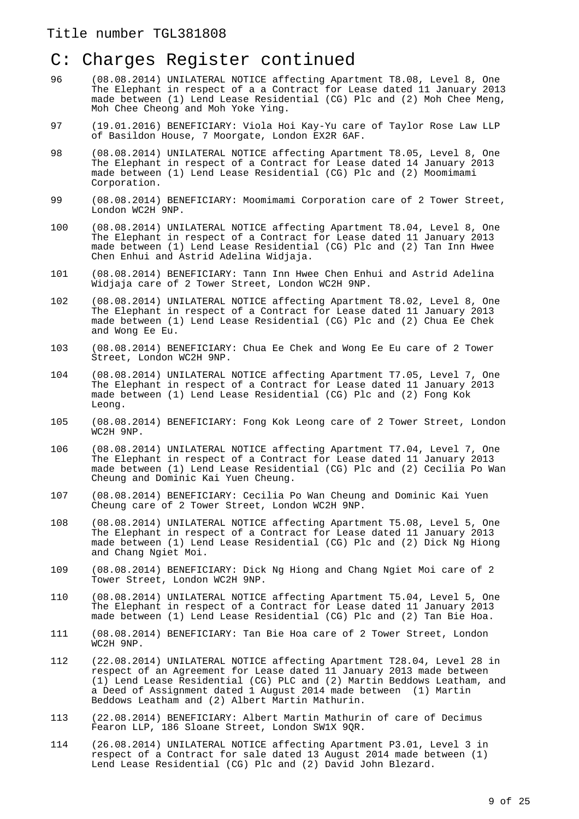- 96 (08.08.2014) UNILATERAL NOTICE affecting Apartment T8.08, Level 8, One The Elephant in respect of a a Contract for Lease dated 11 January 2013 made between (1) Lend Lease Residential (CG) Plc and (2) Moh Chee Meng, Moh Chee Cheong and Moh Yoke Ying.
- 97 (19.01.2016) BENEFICIARY: Viola Hoi Kay-Yu care of Taylor Rose Law LLP of Basildon House, 7 Moorgate, London EX2R 6AF.
- 98 (08.08.2014) UNILATERAL NOTICE affecting Apartment T8.05, Level 8, One The Elephant in respect of a Contract for Lease dated 14 January 2013 made between (1) Lend Lease Residential (CG) Plc and (2) Moomimami Corporation.
- 99 (08.08.2014) BENEFICIARY: Moomimami Corporation care of 2 Tower Street, London WC2H 9NP.
- 100 (08.08.2014) UNILATERAL NOTICE affecting Apartment T8.04, Level 8, One The Elephant in respect of a Contract for Lease dated 11 January 2013 made between (1) Lend Lease Residential (CG) Plc and (2) Tan Inn Hwee Chen Enhui and Astrid Adelina Widjaja.
- 101 (08.08.2014) BENEFICIARY: Tann Inn Hwee Chen Enhui and Astrid Adelina Widjaja care of 2 Tower Street, London WC2H 9NP.
- 102 (08.08.2014) UNILATERAL NOTICE affecting Apartment T8.02, Level 8, One The Elephant in respect of a Contract for Lease dated 11 January 2013 made between (1) Lend Lease Residential (CG) Plc and (2) Chua Ee Chek and Wong Ee Eu.
- 103 (08.08.2014) BENEFICIARY: Chua Ee Chek and Wong Ee Eu care of 2 Tower Street, London WC2H 9NP.
- 104 (08.08.2014) UNILATERAL NOTICE affecting Apartment T7.05, Level 7, One The Elephant in respect of a Contract for Lease dated 11 January 2013 made between (1) Lend Lease Residential (CG) Plc and (2) Fong Kok Leong.
- 105 (08.08.2014) BENEFICIARY: Fong Kok Leong care of 2 Tower Street, London WC2H 9NP.
- 106 (08.08.2014) UNILATERAL NOTICE affecting Apartment T7.04, Level 7, One The Elephant in respect of a Contract for Lease dated 11 January 2013 made between (1) Lend Lease Residential (CG) Plc and (2) Cecilia Po Wan Cheung and Dominic Kai Yuen Cheung.
- 107 (08.08.2014) BENEFICIARY: Cecilia Po Wan Cheung and Dominic Kai Yuen Cheung care of 2 Tower Street, London WC2H 9NP.
- 108 (08.08.2014) UNILATERAL NOTICE affecting Apartment T5.08, Level 5, One The Elephant in respect of a Contract for Lease dated 11 January 2013 made between (1) Lend Lease Residential (CG) Plc and (2) Dick Ng Hiong and Chang Ngiet Moi.
- 109 (08.08.2014) BENEFICIARY: Dick Ng Hiong and Chang Ngiet Moi care of 2 Tower Street, London WC2H 9NP.
- 110 (08.08.2014) UNILATERAL NOTICE affecting Apartment T5.04, Level 5, One The Elephant in respect of a Contract for Lease dated 11 January 2013 made between (1) Lend Lease Residential (CG) Plc and (2) Tan Bie Hoa.
- 111 (08.08.2014) BENEFICIARY: Tan Bie Hoa care of 2 Tower Street, London WC2H 9NP.
- 112 (22.08.2014) UNILATERAL NOTICE affecting Apartment T28.04, Level 28 in respect of an Agreement for Lease dated 11 January 2013 made between (1) Lend Lease Residential (CG) PLC and (2) Martin Beddows Leatham, and a Deed of Assignment dated 1 August 2014 made between (1) Martin Beddows Leatham and (2) Albert Martin Mathurin.
- 113 (22.08.2014) BENEFICIARY: Albert Martin Mathurin of care of Decimus Fearon LLP, 186 Sloane Street, London SW1X 9QR.
- 114 (26.08.2014) UNILATERAL NOTICE affecting Apartment P3.01, Level 3 in respect of a Contract for sale dated 13 August 2014 made between (1) Lend Lease Residential (CG) Plc and (2) David John Blezard.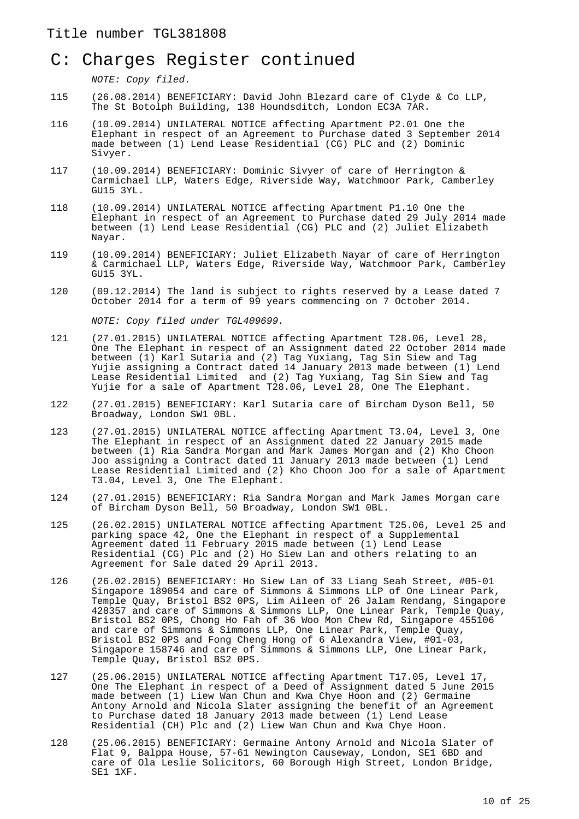NOTE: Copy filed.

- 115 (26.08.2014) BENEFICIARY: David John Blezard care of Clyde & Co LLP, The St Botolph Building, 138 Houndsditch, London EC3A 7AR.
- 116 (10.09.2014) UNILATERAL NOTICE affecting Apartment P2.01 One the Elephant in respect of an Agreement to Purchase dated 3 September 2014 made between (1) Lend Lease Residential (CG) PLC and (2) Dominic Sivyer.
- 117 (10.09.2014) BENEFICIARY: Dominic Sivyer of care of Herrington & Carmichael LLP, Waters Edge, Riverside Way, Watchmoor Park, Camberley GU15 3YL.
- 118 (10.09.2014) UNILATERAL NOTICE affecting Apartment P1.10 One the Elephant in respect of an Agreement to Purchase dated 29 July 2014 made between (1) Lend Lease Residential (CG) PLC and (2) Juliet Elizabeth Nayar.
- 119 (10.09.2014) BENEFICIARY: Juliet Elizabeth Nayar of care of Herrington & Carmichael LLP, Waters Edge, Riverside Way, Watchmoor Park, Camberley GU15 3YL.
- 120 (09.12.2014) The land is subject to rights reserved by a Lease dated 7 October 2014 for a term of 99 years commencing on 7 October 2014.

NOTE: Copy filed under TGL409699.

- 121 (27.01.2015) UNILATERAL NOTICE affecting Apartment T28.06, Level 28, One The Elephant in respect of an Assignment dated 22 October 2014 made between (1) Karl Sutaria and (2) Tag Yuxiang, Tag Sin Siew and Tag Yujie assigning a Contract dated 14 January 2013 made between (1) Lend Lease Residential Limited and (2) Tag Yuxiang, Tag Sin Siew and Tag Yujie for a sale of Apartment T28.06, Level 28, One The Elephant.
- 122 (27.01.2015) BENEFICIARY: Karl Sutaria care of Bircham Dyson Bell, 50 Broadway, London SW1 0BL.
- 123 (27.01.2015) UNILATERAL NOTICE affecting Apartment T3.04, Level 3, One The Elephant in respect of an Assignment dated 22 January 2015 made between (1) Ria Sandra Morgan and Mark James Morgan and (2) Kho Choon Joo assigning a Contract dated 11 January 2013 made between (1) Lend Lease Residential Limited and (2) Kho Choon Joo for a sale of Apartment T3.04, Level 3, One The Elephant.
- 124 (27.01.2015) BENEFICIARY: Ria Sandra Morgan and Mark James Morgan care of Bircham Dyson Bell, 50 Broadway, London SW1 0BL.
- 125 (26.02.2015) UNILATERAL NOTICE affecting Apartment T25.06, Level 25 and parking space 42, One the Elephant in respect of a Supplemental Agreement dated 11 February 2015 made between (1) Lend Lease Residential (CG) Plc and (2) Ho Siew Lan and others relating to an Agreement for Sale dated 29 April 2013.
- 126 (26.02.2015) BENEFICIARY: Ho Siew Lan of 33 Liang Seah Street, #05-01 Singapore 189054 and care of Simmons & Simmons LLP of One Linear Park, Temple Quay, Bristol BS2 0PS, Lim Aileen of 26 Jalam Rendang, Singapore 428357 and care of Simmons & Simmons LLP, One Linear Park, Temple Quay, Bristol BS2 0PS, Chong Ho Fah of 36 Woo Mon Chew Rd, Singapore 455106 and care of Simmons & Simmons LLP, One Linear Park, Temple Quay, Bristol BS2 0PS and Fong Cheng Hong of 6 Alexandra View, #01-03, Singapore 158746 and care of Simmons & Simmons LLP, One Linear Park, Temple Quay, Bristol BS2 0PS.
- 127 (25.06.2015) UNILATERAL NOTICE affecting Apartment T17.05, Level 17, One The Elephant in respect of a Deed of Assignment dated 5 June 2015 made between (1) Liew Wan Chun and Kwa Chye Hoon and (2) Germaine Antony Arnold and Nicola Slater assigning the benefit of an Agreement to Purchase dated 18 January 2013 made between (1) Lend Lease Residential (CH) Plc and (2) Liew Wan Chun and Kwa Chye Hoon.
- 128 (25.06.2015) BENEFICIARY: Germaine Antony Arnold and Nicola Slater of Flat 9, Balppa House, 57-61 Newington Causeway, London, SE1 6BD and care of Ola Leslie Solicitors, 60 Borough High Street, London Bridge, SE1 1XF.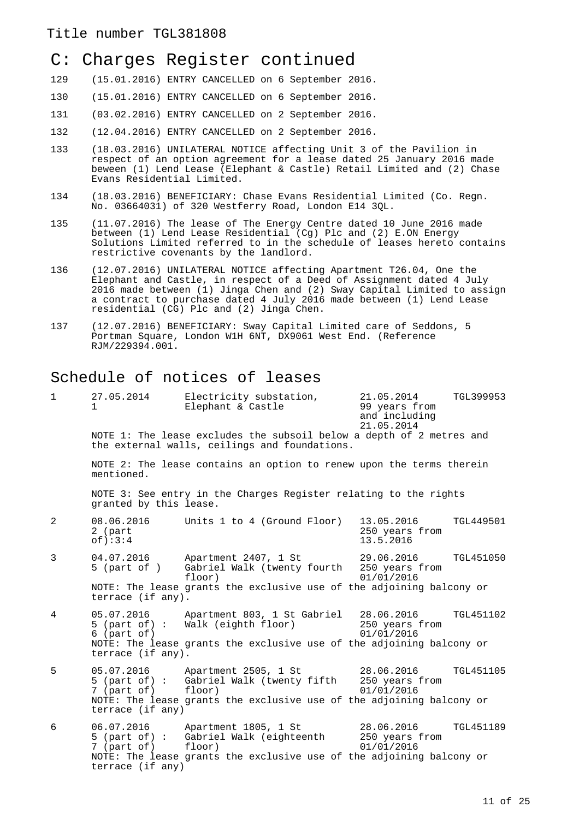# C: Charges Register continued

- 129 (15.01.2016) ENTRY CANCELLED on 6 September 2016.
- 130 (15.01.2016) ENTRY CANCELLED on 6 September 2016.
- 131 (03.02.2016) ENTRY CANCELLED on 2 September 2016.
- 132 (12.04.2016) ENTRY CANCELLED on 2 September 2016.
- 133 (18.03.2016) UNILATERAL NOTICE affecting Unit 3 of the Pavilion in respect of an option agreement for a lease dated 25 January 2016 made beween (1) Lend Lease (Elephant & Castle) Retail Limited and (2) Chase Evans Residential Limited.
- 134 (18.03.2016) BENEFICIARY: Chase Evans Residential Limited (Co. Regn. No. 03664031) of 320 Westferry Road, London E14 3QL.
- 135 (11.07.2016) The lease of The Energy Centre dated 10 June 2016 made between (1) Lend Lease Residential (Cg) Plc and (2) E.ON Energy Solutions Limited referred to in the schedule of leases hereto contains restrictive covenants by the landlord.
- 136 (12.07.2016) UNILATERAL NOTICE affecting Apartment T26.04, One the Elephant and Castle, in respect of a Deed of Assignment dated 4 July 2016 made between (1) Jinga Chen and (2) Sway Capital Limited to assign a contract to purchase dated 4 July 2016 made between (1) Lend Lease residential (CG) Plc and (2) Jinga Chen.
- 137 (12.07.2016) BENEFICIARY: Sway Capital Limited care of Seddons, 5 Portman Square, London W1H 6NT, DX9061 West End. (Reference RJM/229394.001.

## Schedule of notices of leases

| 1              | 27.05.2014<br>1.                    | Electricity substation,<br>Elephant & Castle                                                                          | 21.05.2014<br>99 years from<br>and including<br>21.05.2014 | TGL399953        |
|----------------|-------------------------------------|-----------------------------------------------------------------------------------------------------------------------|------------------------------------------------------------|------------------|
|                |                                     | NOTE 1: The lease excludes the subsoil below a depth of 2 metres and<br>the external walls, ceilings and foundations. |                                                            |                  |
|                | mentioned.                          | NOTE 2: The lease contains an option to renew upon the terms therein                                                  |                                                            |                  |
|                | granted by this lease.              | NOTE 3: See entry in the Charges Register relating to the rights                                                      |                                                            |                  |
| $\overline{2}$ | 08.06.2016<br>2 (part<br>$of$ : 3:4 | Units 1 to 4 (Ground Floor)                                                                                           | 13.05.2016<br>250 years from<br>13.5.2016                  | <b>TGL449501</b> |
| 3              | 04.07.2016<br>$5$ (part of )        | Apartment 2407, 1 St<br>Gabriel Walk (twenty fourth 250 years from<br>floor)                                          | 29.06.2016<br>01/01/2016                                   | <b>TGL451050</b> |
|                | terrace (if any).                   | NOTE: The lease grants the exclusive use of the adjoining balcony or                                                  |                                                            |                  |
| 4              | 05.07.2016<br>$6$ (part of)         | Apartment 803, 1 St Gabriel 28.06.2016<br>5 (part of) : Walk (eighth floor)                                           | 250 years from<br>01/01/2016                               | <b>TGL451102</b> |
|                | terrace (if any).                   | NOTE: The lease grants the exclusive use of the adjoining balcony or                                                  |                                                            |                  |
| 5              | 05.07.2016<br>7 (part of)           | Apartment 2505, 1 St 28.06.2016<br>5 (part of) : Gabriel Walk (twenty fifth 250 years from<br>floor)                  | 01/01/2016                                                 | <b>TGL451105</b> |
|                | terrace (if any)                    | NOTE: The lease grants the exclusive use of the adjoining balcony or                                                  |                                                            |                  |
| 6              |                                     | 06.07.2016 Apartment 1805, 1 St<br>5 (part of) : Gabriel Walk (eighteenth<br>7 (part of) floor)                       | 28.06.2016<br>250 years from<br>01/01/2016                 | <b>TGL451189</b> |
|                | terrace (if any)                    | NOTE: The lease grants the exclusive use of the adjoining balcony or                                                  |                                                            |                  |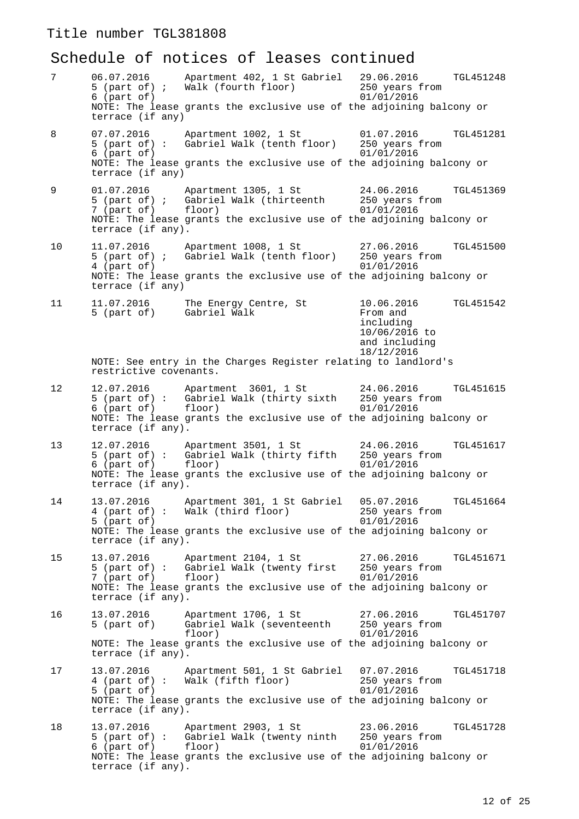# Schedule of notices of leases continued

| 7  | 06.07.2016<br>5 (part of) $\mathfrak i$<br>$6$ (part of)        | Apartment 402, 1 St Gabriel 29.06.2016<br>Walk (fourth floor)<br>NOTE: The lease grants the exclusive use of the adjoining balcony or                                               | TGL451248<br>250 years from<br>01/01/2016                                                               |
|----|-----------------------------------------------------------------|-------------------------------------------------------------------------------------------------------------------------------------------------------------------------------------|---------------------------------------------------------------------------------------------------------|
| 8  | terrace (if any)<br>07.07.2016<br>$6$ (part of)                 | Apartment 1002, 1 St<br>5 (part of): Gabriel Walk (tenth floor) 250 years from<br>NOTE: The lease grants the exclusive use of the adjoining balcony or                              | 01.07.2016<br><b>TGL451281</b><br>01/01/2016                                                            |
|    | terrace (if any)                                                |                                                                                                                                                                                     |                                                                                                         |
| 9  | 7 (part of)<br>terrace (if any).                                | 01.07.2016 Apartment 1305, 1 St<br>5 (part of) ; Gabriel Walk (thirteenth<br>floor)<br>NOTE: The lease grants the exclusive use of the adjoining balcony or                         | 24.06.2016<br>TGL451369<br>250 years from<br>01/01/2016                                                 |
| 10 | 11.07.2016<br>4 (part of)<br>terrace (if any)                   | Apartment 1008, 1 St<br>5 (part of) ; Gabriel Walk (tenth floor)<br>NOTE: The lease grants the exclusive use of the adjoining balcony or                                            | 27.06.2016<br><b>TGL451500</b><br>250 years from<br>01/01/2016                                          |
| 11 | 11.07.2016<br>5 (part of)                                       | The Energy Centre, St<br>Gabriel Walk                                                                                                                                               | 10.06.2016<br><b>TGL451542</b><br>From and<br>including<br>10/06/2016 to<br>and including<br>18/12/2016 |
|    | restrictive covenants.                                          | NOTE: See entry in the Charges Register relating to landlord's                                                                                                                      |                                                                                                         |
| 12 | 6 (part of)<br>terrace (if any).                                | 12.07.2016 Apartment 3601, 1 St<br>5 (part of) : Gabriel Walk (thirty sixth 250 years from<br>floor)<br>NOTE: The lease grants the exclusive use of the adjoining balcony or        | 24.06.2016<br><b>TGL451615</b><br>01/01/2016                                                            |
| 13 | 6 (part of)<br>terrace (if any).                                | 12.07.2016 Apartment 3501, 1 St<br>5 (part of): Gabriel Walk (thirty fifth<br>floor)<br>NOTE: The lease grants the exclusive use of the adjoining balcony or                        | 24.06.2016<br>TGL451617<br>250 years from<br>01/01/2016                                                 |
| 14 | 13.07.2016<br>$5$ (part of)<br>terrace (if any).                | Apartment 301, 1 St Gabriel<br>4 (part of): Walk (third floor)<br>NOTE: The lease grants the exclusive use of the adjoining balcony or                                              | 05.07.2016<br>TGL451664<br>250 years from<br>01/01/2016                                                 |
| 15 | 7 (part of) floor)<br>terrace (if any).                         | 13.07.2016    Apartment 2104, 1 St    27.06.2016<br>5 (part of) : Gabriel Walk (twenty first 250 years from<br>NOTE: The lease grants the exclusive use of the adjoining balcony or | TGL451671<br>01/01/2016                                                                                 |
| 16 | 13.07.2016<br>5 (part of)                                       | Apartment 1706, 1 St<br>Gabriel Walk (seventeenth<br>floor)                                                                                                                         | 27.06.2016<br>TGL451707<br>250 years from<br>01/01/2016                                                 |
|    | terrace (if any).                                               | NOTE: The lease grants the exclusive use of the adjoining balcony or                                                                                                                |                                                                                                         |
| 17 | 13.07.2016<br>4 (part of) :<br>5 (part of)<br>terrace (if any). | Apartment 501, 1 St Gabriel<br>Walk (fifth floor)<br>NOTE: The lease grants the exclusive use of the adjoining balcony or                                                           | 07.07.2016<br>TGL451718<br>250 years from<br>01/01/2016                                                 |
| 18 | 13.07.2016<br>6 (part of)<br>terrace (if any).                  | Apartment 2903, 1 St<br>5 (part of) : Gabriel Walk (twenty ninth 250 years from<br>floor)<br>NOTE: The lease grants the exclusive use of the adjoining balcony or                   | 23.06.2016<br>TGL451728<br>01/01/2016                                                                   |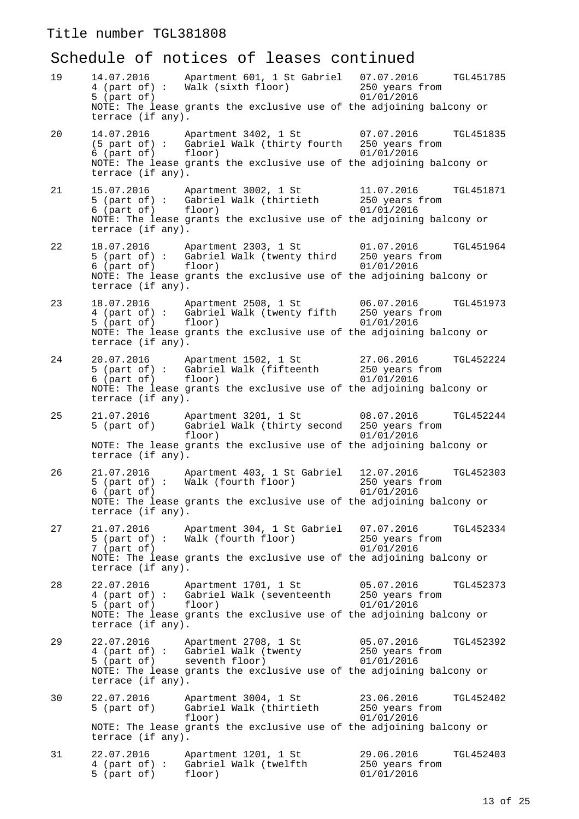# Schedule of notices of leases continued

| 19 | 14.07.2016<br>$5$ (part of)<br>terrace (if any).                | Apartment 601, 1 St Gabriel 07.07.2016<br>4 (part of) : Walk (sixth floor)<br>NOTE: The lease grants the exclusive use of the adjoining balcony or                                                     | TGL451785<br>250 years from<br>01/01/2016               |
|----|-----------------------------------------------------------------|--------------------------------------------------------------------------------------------------------------------------------------------------------------------------------------------------------|---------------------------------------------------------|
| 20 | 6 (part of)<br>terrace (if any).                                | 14.07.2016 Apartment 3402, 1 St 07.07.2016 TGL451835<br>(5 part of) : Gabriel Walk (thirty fourth 250 years from<br>floor)<br>NOTE: The lease grants the exclusive use of the adjoining balcony or     | 01/01/2016                                              |
| 21 | 6 (part of) floor)<br>terrace (if any).                         | 15.07.2016 Apartment 3002, 1 St<br>5 (part of) : Gabriel Walk (thirtieth 250 years from<br>NOTE: The lease grants the exclusive use of the adjoining balcony or                                        | 11.07.2016<br>TGL451871<br>01/01/2016                   |
| 22 | terrace (if any).                                               | NOTE: The lease grants the exclusive use of the adjoining balcony or                                                                                                                                   | TGL451964                                               |
| 23 | 5 (part of)<br>terrace (if any).                                | 18.07.2016     Apartment 2508, 1 St         06.07.2016<br>4 (part of) :  Gabriel Walk (twenty fifth   250 years from<br>floor)<br>NOTE: The lease grants the exclusive use of the adjoining balcony or | TGL451973<br>01/01/2016                                 |
| 24 | 6 (part of) floor)<br>terrace (if any).                         | 20.07.2016 Apartment 1502, 1 St<br>5 (part of) : Gabriel Walk (fifteenth 250 years from<br>NOTE: The lease grants the exclusive use of the adjoining balcony or                                        | 27.06.2016<br>TGL452224<br>01/01/2016                   |
| 25 | 21.07.2016<br>5 (part of)<br>terrace (if any).                  | Apartment 3201, 1 St 08.07.2016<br>Gabriel Walk (thirty second 250 years from<br>floor)<br>NOTE: The lease grants the exclusive use of the adjoining balcony or                                        | TGL452244<br>01/01/2016                                 |
| 26 | 21.07.2016<br>$6$ (part of)<br>terrace (if any).                | Apartment 403, 1 St Gabriel<br>5 (part of): Walk (fourth floor)<br>NOTE: The lease grants the exclusive use of the adjoining balcony or                                                                | TGL452303<br>12.07.2016<br>250 years from<br>01/01/2016 |
| 27 | 21.07.2016<br>5 (part of) :<br>7 (part of)<br>terrace (if any). | Apartment 304, 1 St Gabriel<br>Walk (fourth floor)<br>NOTE: The lease grants the exclusive use of the adjoining balcony or                                                                             | 07.07.2016<br>TGL452334<br>250 years from<br>01/01/2016 |
| 28 | 22.07.2016<br>4 (part of) :<br>5 (part of)<br>terrace (if any). | Apartment 1701, 1 St<br>Gabriel Walk (seventeenth<br>floor)<br>NOTE: The lease grants the exclusive use of the adjoining balcony or                                                                    | 05.07.2016<br>TGL452373<br>250 years from<br>01/01/2016 |
| 29 | 22.07.2016<br>5 (part of)<br>terrace (if any).                  | Apartment 2708, 1 St<br>4 (part of) : Gabriel Walk (twenty<br>seventh floor)<br>NOTE: The lease grants the exclusive use of the adjoining balcony or                                                   | 05.07.2016<br>TGL452392<br>250 years from<br>01/01/2016 |
| 30 | 22.07.2016<br>5 (part of)<br>terrace (if any).                  | Apartment 3004, 1 St<br>Gabriel Walk (thirtieth<br>floor)<br>NOTE: The lease grants the exclusive use of the adjoining balcony or                                                                      | 23.06.2016<br>TGL452402<br>250 years from<br>01/01/2016 |
| 31 | 22.07.2016<br>$4$ (part of) :<br>5 (part of)                    | Apartment 1201, 1 St<br>Gabriel Walk (twelfth<br>floor)                                                                                                                                                | 29.06.2016<br>TGL452403<br>250 years from<br>01/01/2016 |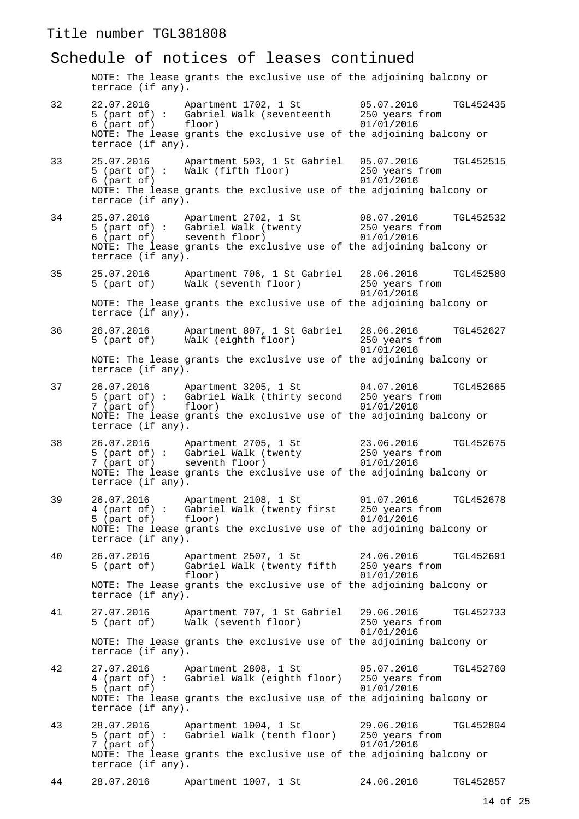## Schedule of notices of leases continued

NOTE: The lease grants the exclusive use of the adjoining balcony or terrace (if any).

| 32 | 22.07.2016<br>6 (part of)                             | Apartment 1702, 1 St<br>5 (part of): Gabriel Walk (seventeenth 250 years from<br>floor)                                                                                                           | 05.07.2016<br>01/01/2016                   | TGL452435        |
|----|-------------------------------------------------------|---------------------------------------------------------------------------------------------------------------------------------------------------------------------------------------------------|--------------------------------------------|------------------|
|    | terrace (if any).                                     | NOTE: The lease grants the exclusive use of the adjoining balcony or                                                                                                                              |                                            |                  |
| 33 | 25.07.2016<br>$6$ (part of)<br>terrace (if any).      | Apartment 503, 1 St Gabriel<br>5 (part of) : Walk (fifth floor)<br>NOTE: The lease grants the exclusive use of the adjoining balcony or                                                           | 05.07.2016<br>250 years from<br>01/01/2016 | <b>TGL452515</b> |
| 34 | 6 (part of)<br>terrace (if any).                      | 25.07.2016 Apartment 2702, 1 St<br>5 (part of) : Gabriel Walk (twenty<br>seventh floor)<br>NOTE: The lease grants the exclusive use of the adjoining balcony or                                   | 08.07.2016<br>250 years from<br>01/01/2016 | TGL452532        |
| 35 | 25.07.2016<br>5 (part of)                             | Apartment 706, 1 St Gabriel<br>Walk (seventh floor)                                                                                                                                               | 28.06.2016<br>250 years from<br>01/01/2016 | <b>TGL452580</b> |
|    | terrace (if any).                                     | NOTE: The lease grants the exclusive use of the adjoining balcony or                                                                                                                              |                                            |                  |
| 36 | 26.07.2016<br>5 (part of)                             | Apartment 807, 1 St Gabriel 28.06.2016<br>Walk (eighth floor)<br>NOTE: The lease grants the exclusive use of the adjoining balcony or                                                             | 250 years from<br>01/01/2016               | TGL452627        |
|    | terrace (if any).                                     |                                                                                                                                                                                                   |                                            |                  |
| 37 | 7 (part of)<br>terrace (if any).                      | 26.07.2016    Apartment 3205, 1 St    04.07.2016<br>5 (part of) : Gabriel Walk (thirty second    250 years from<br>floor)<br>NOTE: The lease grants the exclusive use of the adjoining balcony or | 01/01/2016                                 | TGL452665        |
| 38 | 26.07.2016<br>terrace (if any).                       | Apartment 2705, 1 St<br>5 (part of) : Gabriel Walk (twenty<br>7 (part of) seventh floor)<br>NOTE: The lease grants the exclusive use of the adjoining balcony or                                  | 23.06.2016<br>250 years from<br>01/01/2016 | TGL452675        |
| 39 | 26.07.2016<br>5 (part of) floor)<br>terrace (if any). | Apartment 2108, 1 St<br>4 (part of) : Gabriel Walk (twenty first 250 years from<br>NOTE: The lease grants the exclusive use of the adjoining balcony or                                           | 01.07.2016<br>01/01/2016                   | TGL452678        |
| 40 | 26.07.2016<br>5 (part of)<br>terrace (if any).        | Apartment 2507, 1 St<br>floor)<br>NOTE: The lease grants the exclusive use of the adjoining balcony or                                                                                            | 24.06.2016<br>01/01/2016                   | TGL452691        |
| 41 | 27.07.2016<br>5 (part of)                             | Apartment 707, 1 St Gabriel<br>Walk (seventh floor)                                                                                                                                               | 29.06.2016<br>250 years from<br>01/01/2016 | TGL452733        |
|    | terrace (if any).                                     | NOTE: The lease grants the exclusive use of the adjoining balcony or                                                                                                                              |                                            |                  |
| 42 | 27.07.2016<br>5 (part of)                             | Apartment 2808, 1 St<br>4 (part of): Gabriel Walk (eighth floor) 250 years from<br>NOTE: The lease grants the exclusive use of the adjoining balcony or                                           | 05.07.2016<br>01/01/2016                   | TGL452760        |
| 43 | terrace (if any).<br>28.07.2016<br>7 (part of)        | Apartment 1004, 1 St<br>5 (part of): Gabriel Walk (tenth floor)                                                                                                                                   | 29.06.2016<br>250 years from<br>01/01/2016 | TGL452804        |
|    | terrace (if any).                                     | NOTE: The lease grants the exclusive use of the adjoining balcony or                                                                                                                              |                                            |                  |
| 44 | 28.07.2016                                            | Apartment 1007, 1 St                                                                                                                                                                              | 24.06.2016                                 | TGL452857        |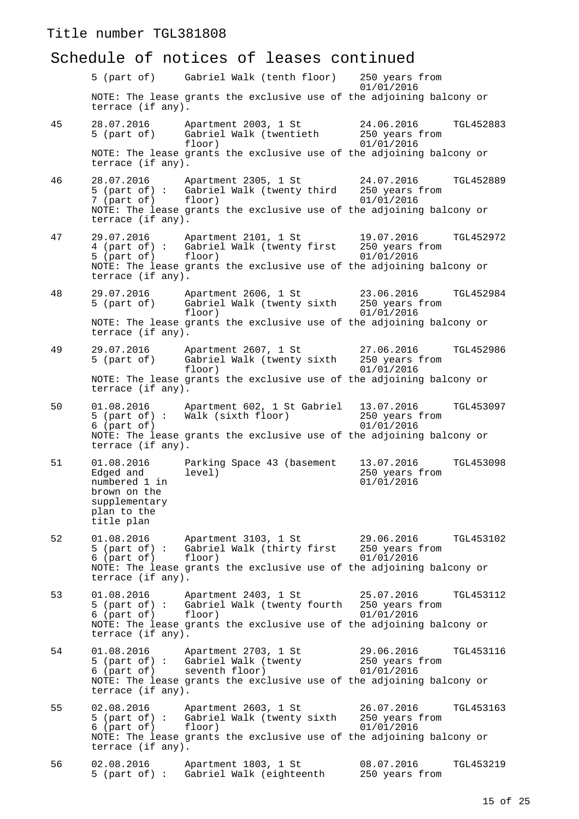#### Schedule of notices of leases continued

5 (part of) Gabriel Walk (tenth floor) 250 years from 01/01/2016 NOTE: The lease grants the exclusive use of the adjoining balcony or terrace (if any). 45 28.07.2016 Apartment 2003, 1 St 24.06.2016 TGL452883 Gabriel Walk (twentieth<br>floor)  $01/01/2016$ NOTE: The lease grants the exclusive use of the adjoining balcony or terrace (if any). 46 28.07.2016 Apartment 2305, 1 St 24.07.2016 TGL452889 5 (part of) : Gabriel Walk (twenty third 250 years 1<br>7 (part of) floor) 01/01/2016  $7$  (part of) NOTE: The lease grants the exclusive use of the adjoining balcony or terrace (if any). 47 29.07.2016 Apartment 2101, 1 St 19.07.2016 TGL452972<br>4 (part of): Gabriel Walk (twenty first 250 years from 4 (part of) : Gabriel Walk (twenty first 250 years form of  $(1/01/2016$ 5 (part of) floor) NOTE: The lease grants the exclusive use of the adjoining balcony or terrace (if any). 48 29.07.2016 Apartment 2606, 1 St 23.06.2016 TGL452984 Gabriel Walk (twenty sixth floor)  $01/01/2016$ NOTE: The lease grants the exclusive use of the adjoining balcony or terrace (if any). 49 29.07.2016 Apartment 2607, 1 St 27.06.2016 TGL452986<br>5 (part of) Gabriel Walk (twenty sixth 250 years from Gabriel Walk (twenty sixth<br>floor)  $01/01/2016$ NOTE: The lease grants the exclusive use of the adjoining balcony or terrace (if any). 50 01.08.2016 Apartment 602, 1 St Gabriel 13.07.2016 TGL453097 % Walk (sixth floor) 350 years from Walk (sixth floor) 250 years from 250 years from 250 years from 250 years from 250 years from 250 years from 250 years from 250 years from 250 years from 250 years from 250 years from 25  $6$  (part of) NOTE: The lease grants the exclusive use of the adjoining balcony or terrace (if any). 51 01.08.2016 Parking Space 43 (basement 13.07.2016 TGL453098 250 years from<br>01/01/2016 numbered 1 in brown on the supplementary plan to the title plan 52 01.08.2016 Apartment 3103, 1 St 29.06.2016 TGL453102 Gabriel Walk (thirty first 250 years f<br>floor) 01/01/2016  $6$  (part of) NOTE: The lease grants the exclusive use of the adjoining balcony or terrace (if any). 53 01.08.2016 Apartment 2403, 1 St 25.07.2016 TGL453112 5 (part of) : Gabriel Walk (twenty fourth 250 years from 6 (part of) floor) 01/01/2016 NOTE: The lease grants the exclusive use of the adjoining balcony or terrace (if any). 54 01.08.2016 Apartment 2703, 1 St 29.06.2016 TGL453116 5 (part of) : Gabriel Walk (twenty 250 years from 6 (part of) seventh floor) 01/01/2016 NOTE: The lease grants the exclusive use of the adjoining balcony or terrace (if any). 55 02.08.2016 Apartment 2603, 1 St 26.07.2016 TGL453163<br>5 (part of): Gabriel Walk (twenty sixth 250 years from 5 (part of) : Gabriel Walk (twenty sixth 250 years : 6 (part of) floor)  $6$  (part of) NOTE: The lease grants the exclusive use of the adjoining balcony or terrace (if any). 56 02.08.2016 Apartment 1803, 1 St 08.07.2016 TGL453219 5 (part of) : Gabriel Walk (eighteenth 250 years from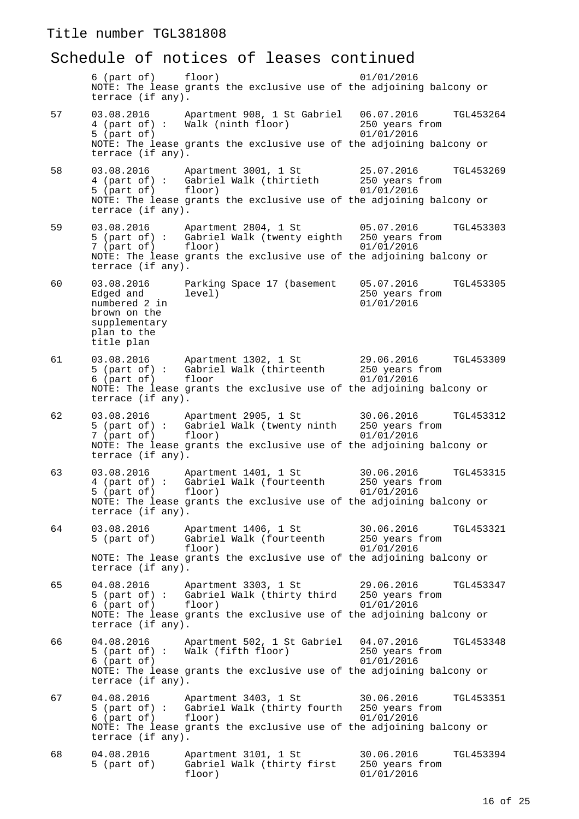#### Schedule of notices of leases continued

6 (part of) floor) 01/01/2016 NOTE: The lease grants the exclusive use of the adjoining balcony or terrace (if any). 57 03.08.2016 Apartment 908, 1 St Gabriel 06.07.2016 TGL453264<br>4 (part of): Walk (ninth floor) 250 years from 4 (part of) : Walk (ninth floor) 250 years from the part of) 250 years from 250 years from 250 years from 250 years from 250 years from 250 years from 250 years from 250 years from 250 years from 250 years from 250 years f  $5$  (part of) NOTE: The lease grants the exclusive use of the adjoining balcony or terrace (if any). 58 03.08.2016 Apartment 3001, 1 St 25.07.2016 TGL453269  $\begin{array}{ll}\n\text{Gabriel Walk (thirtieth} & 250 \text{ years} \\
\text{floor}) & 01/01/2016\n\end{array}$  $5$  (part of) NOTE: The lease grants the exclusive use of the adjoining balcony or terrace (if any). 59 03.08.2016 Apartment 2804, 1 St 05.07.2016 TGL453303<br>5 (part of): Gabriel Walk (twenty eighth 250 years from Gabriel Walk (twenty eighth 250 years :<br>floor)  $01/01/2016$  $7$  (part of) NOTE: The lease grants the exclusive use of the adjoining balcony or terrace (if any). 60 03.08.2016 Parking Space 17 (basement 05.07.2016 TGL453305  $250 \text{ years from}$ <br> $01/01/2016$ numbered 2 in brown on the supplementary plan to the title plan 61 03.08.2016 Apartment 1302, 1 St 29.06.2016 TGL453309<br>5 (part of): Gabriel Walk (thirteenth 250 years from Gabriel Walk (thirteenth 250 years floor 1  $6$  (part of) floor NOTE: The lease grants the exclusive use of the adjoining balcony or terrace (if any). 62 03.08.2016 Apartment 2905, 1 St 30.06.2016 TGL453312<br>5 (part of): Gabriel Walk (twenty ninth 250 years from 5 (part of) : Gabriel Walk (twenty ninth 7 (part of) floor) 01/01/2016 NOTE: The lease grants the exclusive use of the adjoining balcony or terrace (if any). 63 03.08.2016 Apartment 1401, 1 St 30.06.2016 TGL453315<br>4 (part of): Gabriel Walk (fourteenth 250 years from Gabriel Walk (fourteenth 250 years f<br>floor) 01/01/2016 5 (part of) NOTE: The lease grants the exclusive use of the adjoining balcony or terrace (if any). 64 03.08.2016 Apartment 1406, 1 St 30.06.2016 TGL453321<br>5 (part of) Gabriel Walk (fourteenth 250 years from 5 (part of) Gabriel Walk (fourteenth  $floor$ )  $01/01/2016$ NOTE: The lease grants the exclusive use of the adjoining balcony or terrace (if any). 65 04.08.2016 Apartment 3303, 1 St 29.06.2016 TGL453347 Gabriel Walk (thirty third 6 (part of) floor) 01/01/2016 NOTE: The lease grants the exclusive use of the adjoining balcony or terrace (if any). 66 04.08.2016 Apartment 502, 1 St Gabriel 04.07.2016 TGL453348 5 (part of) : Walk (fifth floor) 250 years from<br>6 (part of) 01/01/2016  $6$  (part of) NOTE: The lease grants the exclusive use of the adjoining balcony or terrace (if any). 67 04.08.2016 Apartment 3403, 1 St 30.06.2016 TGL453351<br>5 (part of): Gabriel Walk (thirty fourth 250 years from Gabriel Walk (thirty fourth 250 years :<br>floor) 01/01/2016  $6$  (part of) NOTE: The lease grants the exclusive use of the adjoining balcony or terrace (if any). 68 04.08.2016 Apartment 3101, 1 St 30.06.2016 TGL453394<br>5 (part of) Gabriel Walk (thirty first 250 years from Gabriel Walk (thirty first floor) 01/01/2016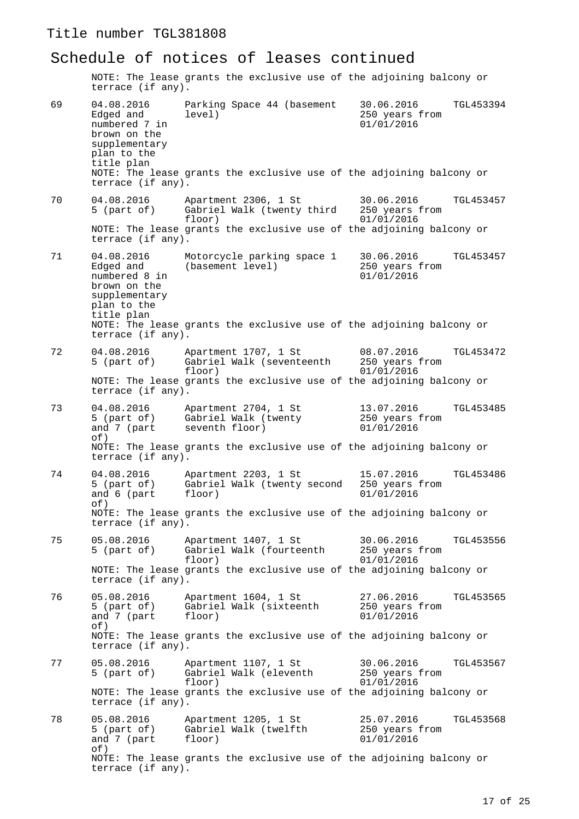terrace (if any).

Schedule of notices of leases continued NOTE: The lease grants the exclusive use of the adjoining balcony or terrace (if any). 69 04.08.2016 Parking Space 44 (basement 30.06.2016 TGL453394 250 years from<br>01/01/2016 numbered 7 in brown on the supplementary plan to the title plan NOTE: The lease grants the exclusive use of the adjoining balcony or terrace (if any). 70 04.08.2016 Apartment 2306, 1 St 30.06.2016 TGL453457<br>5 (part of) Gabriel Walk (twenty third 250 years from 5 (part of) Gabriel Walk (twenty third<br>floor)  $01/01/2016$ NOTE: The lease grants the exclusive use of the adjoining balcony or terrace (if any). 71 04.08.2016 Motorcycle parking space 1 30.06.2016 TGL453457 Edged and (basement level) 250 years from numbered 8 in 01/01/2016 brown on the supplementary plan to the title plan NOTE: The lease grants the exclusive use of the adjoining balcony or terrace (if any). 72 04.08.2016 Apartment 1707, 1 St 08.07.2016 TGL453472<br>5 (part of) Gabriel Walk (seventeenth 250 years from 5 (part of) Gabriel Walk (seventeenth  $f_{\text{loor}}$  $01/01/2016$ NOTE: The lease grants the exclusive use of the adjoining balcony or terrace (if any). 73 04.08.2016 Apartment 2704, 1 St 13.07.2016 TGL453485 Gabriel Walk (twenty and 7 (part seventh floor) 01/01/2016 of) NOTE: The lease grants the exclusive use of the adjoining balcony or terrace (if any). 74 04.08.2016 Apartment 2203, 1 St 15.07.2016 TGL453486 Gabriel Walk (twenty second  $250$  years floor)  $01/01/2016$ and 6 (part of) NOTE: The lease grants the exclusive use of the adjoining balcony or terrace (if any). 75 05.08.2016 Apartment 1407, 1 St 30.06.2016 TGL453556 5 (part of) Gabriel Walk (fourteenth 250 years from

 $01/01/2016$ NOTE: The lease grants the exclusive use of the adjoining balcony or terrace (if any).

76 05.08.2016 Apartment 1604, 1 St 27.06.2016 TGL453565 Gabriel Walk (sixteenth 250 years floor) 01/01/2016 and 7 (part  $\cap f$ ) NOTE: The lease grants the exclusive use of the adjoining balcony or

77 05.08.2016 Apartment 1107, 1 St 30.06.2016 TGL453567 5 (part of) Gabriel Walk (eleventh 250 years from floor) 01/01/2016 NOTE: The lease grants the exclusive use of the adjoining balcony or terrace (if any).

78 05.08.2016 Apartment 1205, 1 St 25.07.2016 TGL453568 Gabriel Walk (twelfth  $250 \text{ years}$ <br>floor)  $01/01/2016$ and 7 (part of) NOTE: The lease grants the exclusive use of the adjoining balcony or terrace (if any).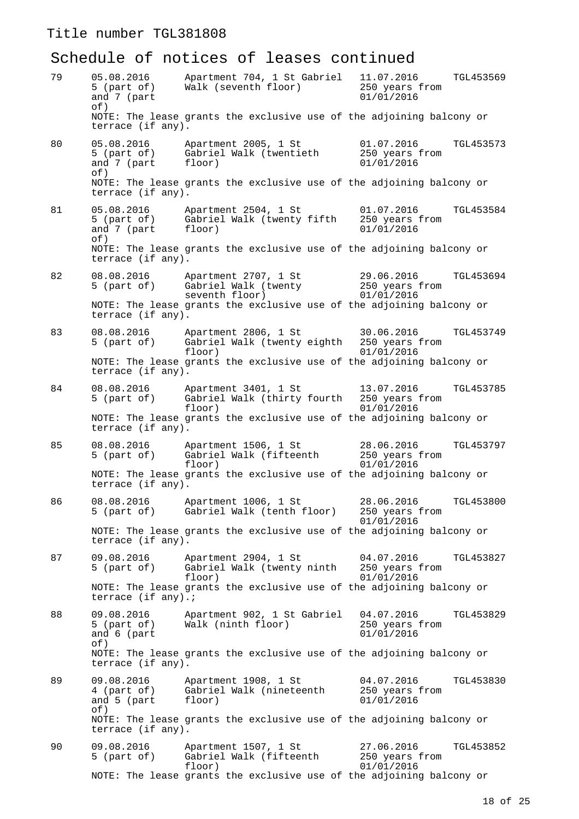# Schedule of notices of leases continued

| 79 | 05.08.2016<br>5 (part of)<br>and 7 (part<br>of)   | Apartment 704, 1 St Gabriel<br>Walk (seventh floor)                          | 11.07.2016<br>TGL453569<br>250 years from<br>01/01/2016 |
|----|---------------------------------------------------|------------------------------------------------------------------------------|---------------------------------------------------------|
|    | terrace (if any).                                 | NOTE: The lease grants the exclusive use of the adjoining balcony or         |                                                         |
| 80 | 05.08.2016<br>5 (part of)<br>and 7 (part<br>of)   | Apartment 2005, 1 St<br>Gabriel Walk (twentieth<br>floor)                    | 01.07.2016<br>TGL453573<br>250 years from<br>01/01/2016 |
|    | terrace (if any).                                 | NOTE: The lease grants the exclusive use of the adjoining balcony or         |                                                         |
| 81 | 05.08.2016<br>5 (part of)<br>and 7 (part<br>of)   | Apartment 2504, 1 St<br>Gabriel Walk (twenty fifth<br>floor)                 | 01.07.2016<br>TGL453584<br>250 years from<br>01/01/2016 |
|    | terrace (if any).                                 | NOTE: The lease grants the exclusive use of the adjoining balcony or         |                                                         |
| 82 | 08.08.2016<br>5 (part of)                         | Apartment 2707, 1 St<br>Gabriel Walk (twenty<br>seventh floor)               | 29.06.2016<br>TGL453694<br>250 years from<br>01/01/2016 |
|    | terrace (if any).                                 | NOTE: The lease grants the exclusive use of the adjoining balcony or         |                                                         |
| 83 | 08.08.2016<br>5 (part of)                         | Apartment 2806, 1 St<br>Gabriel Walk (twenty eighth 250 years from<br>floor) | 30.06.2016<br>TGL453749<br>01/01/2016                   |
|    | terrace (if any).                                 | NOTE: The lease grants the exclusive use of the adjoining balcony or         |                                                         |
| 84 | 08.08.2016<br>5 (part of)                         | Apartment 3401, 1 St<br>Gabriel Walk (thirty fourth<br>floor)                | 13.07.2016<br>TGL453785<br>250 years from<br>01/01/2016 |
|    | terrace (if any).                                 | NOTE: The lease grants the exclusive use of the adjoining balcony or         |                                                         |
| 85 | 08.08.2016<br>5 (part of)                         | Apartment 1506, 1 St<br>Gabriel Walk (fifteenth<br>floor)                    | 28.06.2016<br>TGL453797<br>250 years from<br>01/01/2016 |
|    | terrace (if any).                                 | NOTE: The lease grants the exclusive use of the adjoining balcony or         |                                                         |
| 86 | 08.08.2016<br>5 (part of)                         | Apartment 1006, 1 St<br>Gabriel Walk (tenth floor)                           | 28.06.2016<br>TGL453800<br>250 years from<br>01/01/2016 |
|    | terrace (if any).                                 | NOTE: The lease grants the exclusive use of the adjoining balcony or         |                                                         |
| 87 | 09.08.2016<br>$5$ (part of)                       | Apartment 2904, 1 St<br>Gabriel Walk (twenty ninth<br>floor)                 | 04.07.2016<br>TGL453827<br>250 years from<br>01/01/2016 |
|    | terrace (if any).;                                | NOTE: The lease grants the exclusive use of the adjoining balcony or         |                                                         |
| 88 | 09.08.2016<br>$5$ (part of)<br>and 6 (part<br>of) | Apartment 902, 1 St Gabriel<br>Walk (ninth floor)                            | 04.07.2016<br>TGL453829<br>250 years from<br>01/01/2016 |
|    | terrace (if any).                                 | NOTE: The lease grants the exclusive use of the adjoining balcony or         |                                                         |
| 89 | 09.08.2016<br>4 (part of)<br>and 5 (part<br>of)   | Apartment 1908, 1 St<br>Gabriel Walk (nineteenth<br>floor)                   | 04.07.2016<br>TGL453830<br>250 years from<br>01/01/2016 |
|    | terrace (if any).                                 | NOTE: The lease grants the exclusive use of the adjoining balcony or         |                                                         |
| 90 | 09.08.2016<br>5 (part of)                         | Apartment 1507, 1 St<br>Gabriel Walk (fifteenth<br>floor)                    | 27.06.2016<br>TGL453852<br>250 years from<br>01/01/2016 |
|    |                                                   | NOTE: The lease grants the exclusive use of the adjoining balcony or         |                                                         |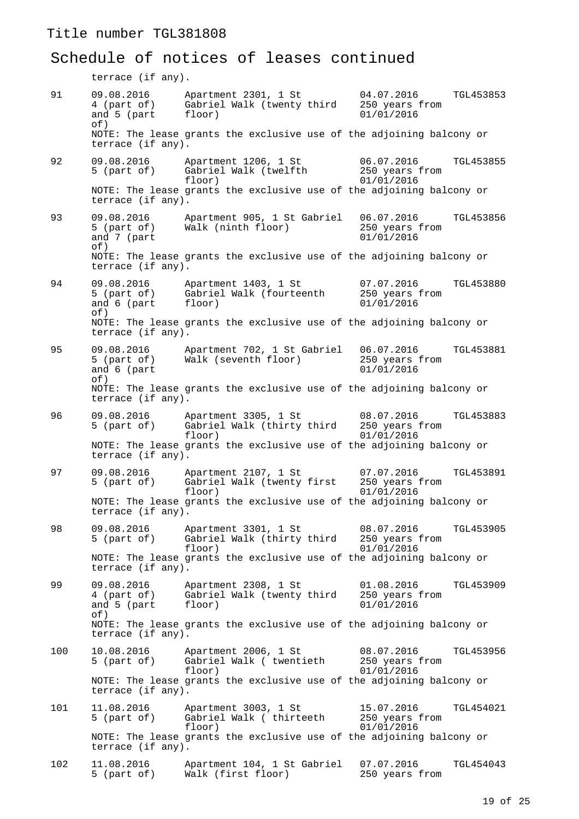# Schedule of notices of leases continued

terrace (if any).

| 91  | 09.08.2016<br>4 (part of)<br>and 5 (part<br>of) | Apartment 2301, 1 St<br>Gabriel Walk (twenty third<br>floor)         | 04.07.2016<br>250 years from<br>01/01/2016 | TGL453853 |
|-----|-------------------------------------------------|----------------------------------------------------------------------|--------------------------------------------|-----------|
|     | terrace (if any).                               | NOTE: The lease grants the exclusive use of the adjoining balcony or |                                            |           |
| 92  | 09.08.2016<br>5 (part of)                       | Apartment 1206, 1 St<br>Gabriel Walk (twelfth<br>floor)              | 06.07.2016<br>250 years from<br>01/01/2016 | TGL453855 |
|     | terrace (if any).                               | NOTE: The lease grants the exclusive use of the adjoining balcony or |                                            |           |
| 93  | 09.08.2016<br>5 (part of)<br>and 7 (part<br>of) | Apartment 905, 1 St Gabriel<br>Walk (ninth floor)                    | 06.07.2016<br>250 years from<br>01/01/2016 | TGL453856 |
|     | terrace (if any).                               | NOTE: The lease grants the exclusive use of the adjoining balcony or |                                            |           |
| 94  | 09.08.2016<br>5 (part of)<br>and 6 (part<br>of) | Apartment 1403, 1 St<br>Gabriel Walk (fourteenth<br>floor)           | 07.07.2016<br>250 years from<br>01/01/2016 | TGL453880 |
|     | terrace (if any).                               | NOTE: The lease grants the exclusive use of the adjoining balcony or |                                            |           |
| 95  | 09.08.2016<br>5 (part of)<br>and 6 (part<br>of) | Apartment 702, 1 St Gabriel<br>Walk (seventh floor)                  | 06.07.2016<br>250 years from<br>01/01/2016 | TGL453881 |
|     | terrace (if any).                               | NOTE: The lease grants the exclusive use of the adjoining balcony or |                                            |           |
| 96  | 09.08.2016<br>5 (part of)                       | Apartment 3305, 1 St<br>Gabriel Walk (thirty third<br>floor)         | 08.07.2016<br>250 years from<br>01/01/2016 | TGL453883 |
|     | terrace (if any).                               | NOTE: The lease grants the exclusive use of the adjoining balcony or |                                            |           |
| 97  | 09.08.2016<br>$5$ (part of)                     | Apartment 2107, 1 St<br>Gabriel Walk (twenty first<br>floor)         | 07.07.2016<br>250 years from<br>01/01/2016 | TGL453891 |
|     | terrace (if any).                               | NOTE: The lease grants the exclusive use of the adjoining balcony or |                                            |           |
| 98  | 09.08.2016<br>5 (part of)                       | Apartment 3301, 1 St<br>Gabriel Walk (thirty third<br>floor)         | 08.07.2016<br>250 years from<br>01/01/2016 | TGL453905 |
|     | terrace (if any).                               | NOTE: The lease grants the exclusive use of the adjoining balcony or |                                            |           |
| 99  | 09.08.2016<br>4 (part of)<br>and 5 (part<br>of) | Apartment 2308, 1 St<br>Gabriel Walk (twenty third<br>floor)         | 01.08.2016<br>250 years from<br>01/01/2016 | TGL453909 |
|     | terrace (if any).                               | NOTE: The lease grants the exclusive use of the adjoining balcony or |                                            |           |
| 100 | 10.08.2016<br>5 (part of)                       | Apartment 2006, 1 St<br>Gabriel Walk ( twentieth<br>floor)           | 08.07.2016<br>250 years from<br>01/01/2016 | TGL453956 |
|     | terrace (if any).                               | NOTE: The lease grants the exclusive use of the adjoining balcony or |                                            |           |
| 101 | 11.08.2016<br>5 (part of)                       | Apartment 3003, 1 St<br>Gabriel Walk ( thirteeth<br>floor)           | 15.07.2016<br>250 years from<br>01/01/2016 | TGL454021 |
|     | terrace (if any).                               | NOTE: The lease grants the exclusive use of the adjoining balcony or |                                            |           |
| 102 | 11.08.2016<br>5 (part of)                       | Apartment 104, 1 St Gabriel<br>Walk (first floor)                    | 07.07.2016<br>250 years from               | TGL454043 |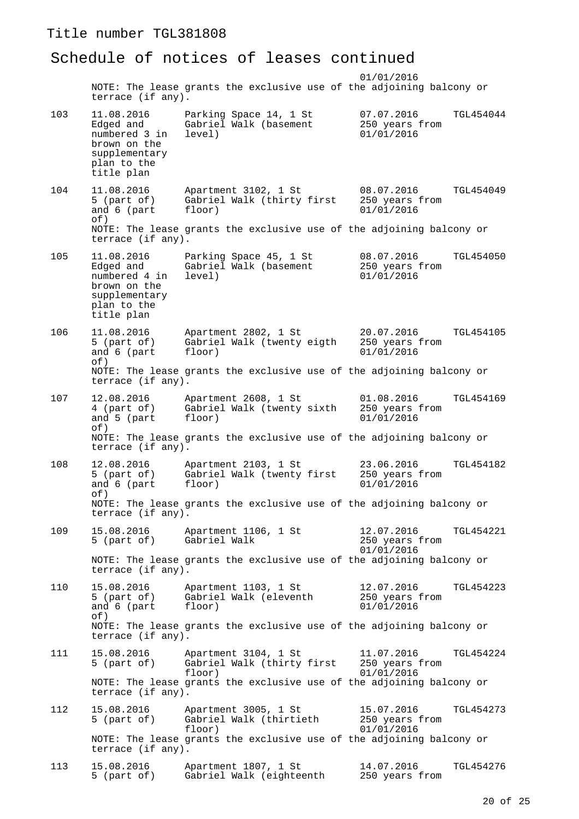#### Schedule of notices of leases continued

 01/01/2016 NOTE: The lease grants the exclusive use of the adjoining balcony or terrace (if any). 103 11.08.2016 Parking Space 14, 1 St 07.07.2016 TGL454044 Edged and Gabriel Walk (basement 250 years from<br>
numbered 3 in level) 01/01/2016 numbered 3 in brown on the supplementary plan to the title plan 104 11.08.2016 Apartment 3102, 1 St 08.07.2016 TGL454049 Gabriel Walk (thirty first 250 years floor)  $01/01/2016$ and 6 (part floor) of) NOTE: The lease grants the exclusive use of the adjoining balcony or terrace (if any). 105 11.08.2016 Parking Space 45, 1 St 08.07.2016 TGL454050 Edged and Gabriel Walk (basement 250 years from numbered 4 in level) 01/01/2016 brown on the supplementary plan to the title plan 106 11.08.2016 Apartment 2802, 1 St 20.07.2016 TGL454105<br>5 (part of) Gabriel Walk (twenty eigth 250 years from Gabriel Walk (twenty eigth  $250$  years floor)  $01/01/2016$ and 6 (part floor) of) NOTE: The lease grants the exclusive use of the adjoining balcony or terrace (if any). 107 12.08.2016 Apartment 2608, 1 St 01.08.2016 TGL454169 4 (part of) Gabriel Walk (twenty sixth 250 years from and 5 (part of) NOTE: The lease grants the exclusive use of the adjoining balcony or terrace (if any). 108 12.08.2016 Apartment 2103, 1 St 23.06.2016 TGL454182<br>5 (part of) Gabriel Walk (twenty first 250 years from Gabriel Walk (twenty first 250 years floor)  $01/01/2016$ and 6 (part of) NOTE: The lease grants the exclusive use of the adjoining balcony or terrace (if any). 109 15.08.2016 Apartment 1106, 1 St 12.07.2016 TGL454221<br>5 (part of) Gabriel Walk 250 years from 250 years from 01/01/2016 NOTE: The lease grants the exclusive use of the adjoining balcony or terrace (if any). 110 15.08.2016 Apartment 1103, 1 St 12.07.2016 TGL454223 Gabriel Walk (eleventh  $250$  years from<br>floor)  $01/01/2016$ and 6 (part floor) 01/01/2016 of) NOTE: The lease grants the exclusive use of the adjoining balcony or terrace (if any). 111 15.08.2016 Apartment 3104, 1 St 11.07.2016 TGL454224<br>5 (part of) Gabriel Walk (thirty first 250 years from Gabriel Walk (thirty first floor) 01/01/2016 NOTE: The lease grants the exclusive use of the adjoining balcony or terrace (if any). 112 15.08.2016 Apartment 3005, 1 St 15.07.2016 TGL454273 5 (part of) Gabriel Walk (thirtieth 250 years from  $01/01/2016$ NOTE: The lease grants the exclusive use of the adjoining balcony or terrace (if any). 113 15.08.2016 Apartment 1807, 1 St 14.07.2016 TGL454276<br>5 (part of) Gabriel Walk (eighteenth 250 years from Gabriel Walk (eighteenth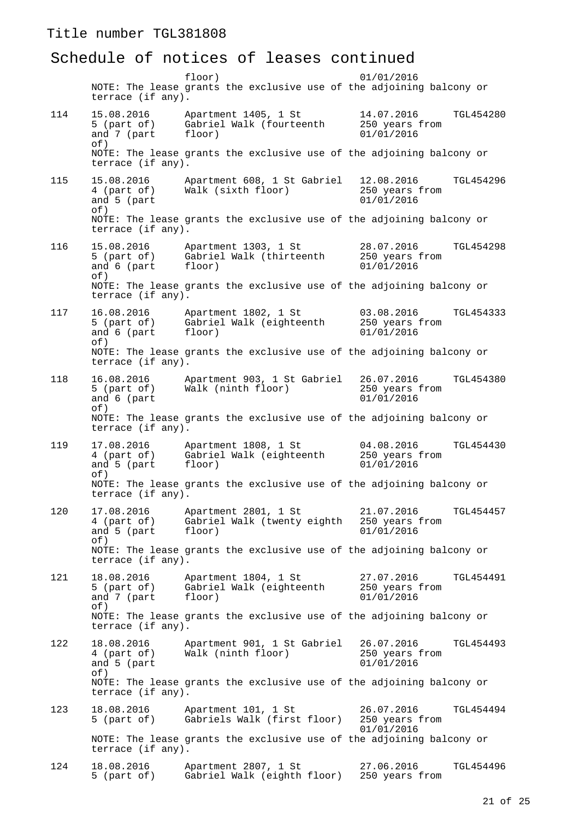#### Schedule of notices of leases continued

 floor) 01/01/2016 NOTE: The lease grants the exclusive use of the adjoining balcony or terrace (if any). 114 15.08.2016 Apartment 1405, 1 St 14.07.2016 TGL454280 5 (part of) Gabriel Walk (fourteenth 250 years from<br>and 7 (part floor) 01/01/2016 and  $7$  (part of) NOTE: The lease grants the exclusive use of the adjoining balcony or terrace (if any). 115 15.08.2016 Apartment 608, 1 St Gabriel 12.08.2016 TGL454296 Walk (sixth floor) 250 years  $01/01/2016$ and 5 (part of) NOTE: The lease grants the exclusive use of the adjoining balcony or terrace (if any). 116 15.08.2016 Apartment 1303, 1 St 28.07.2016 TGL454298 5 (part of) Gabriel Walk (thirteenth 250 years from<br>and 6 (part floor) 01/01/2016 and 6 (part of) NOTE: The lease grants the exclusive use of the adjoining balcony or terrace (if any). 117 16.08.2016 Apartment 1802, 1 St 03.08.2016 TGL454333<br>5 (part of) Gabriel Walk (eighteenth 250 years from Gabriel Walk (eighteenth and 6 (part floor) 01/01/2016  $\cap f$ ) NOTE: The lease grants the exclusive use of the adjoining balcony or terrace (if any). 118 16.08.2016 Apartment 903, 1 St Gabriel 26.07.2016 TGL454380 Walk (ninth floor) 250 years  $01/01/2016$ and  $6$  (part of) NOTE: The lease grants the exclusive use of the adjoining balcony or terrace (if any). 119 17.08.2016 Apartment 1808, 1 St 04.08.2016 TGL454430 4 (part of) Gabriel Walk (eighteenth 250 years from and 5 (part of) NOTE: The lease grants the exclusive use of the adjoining balcony or terrace (if any). 120 17.08.2016 Apartment 2801, 1 St 21.07.2016 TGL454457 4 (part of) Gabriel Walk (twenty eighth 250 years from and 5 (part of) NOTE: The lease grants the exclusive use of the adjoining balcony or terrace (if any). 121 18.08.2016 Apartment 1804, 1 St 27.07.2016 TGL454491<br>5 (part of) Gabriel Walk (eighteenth 250 years from Gabriel Walk (eighteenth and 7 (part floor) 01/01/2016 of) NOTE: The lease grants the exclusive use of the adjoining balcony or terrace (if any). 122 18.08.2016 Apartment 901, 1 St Gabriel 26.07.2016 TGL454493  $\text{Walk}$  (ninth floor) 250 years  $\frac{0.01}{0.01}$ and  $5$  (part of) NOTE: The lease grants the exclusive use of the adjoining balcony or terrace (if any). 123 18.08.2016 Apartment 101, 1 St 26.07.2016 TGL454494 5 (part of) Gabriels Walk (first floor) 250 years from 01/01/2016 NOTE: The lease grants the exclusive use of the adjoining balcony or terrace (if any). 124 18.08.2016 Apartment 2807, 1 St 27.06.2016 TGL454496<br>5 (part of) Gabriel Walk (eighth floor) 250 years from Gabriel Walk (eighth floor)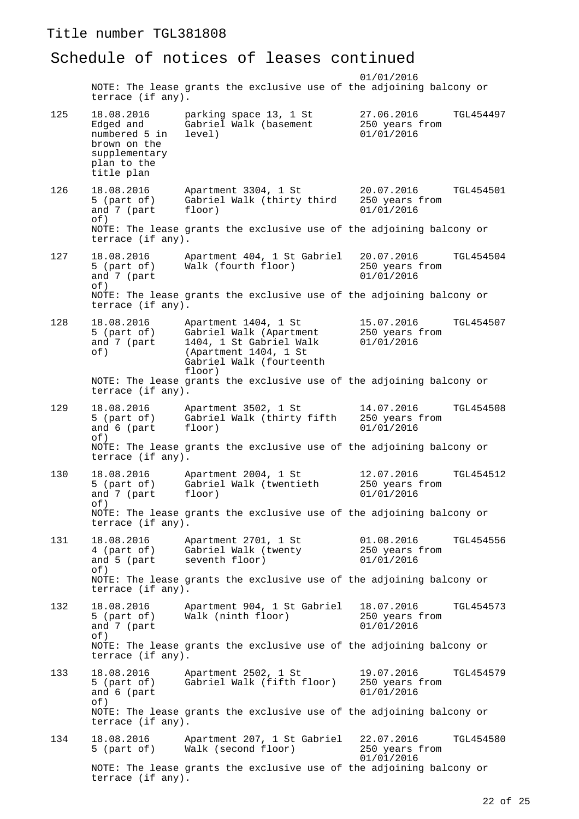#### Schedule of notices of leases continued

 01/01/2016 NOTE: The lease grants the exclusive use of the adjoining balcony or terrace (if any). 125 18.08.2016 parking space 13, 1 St 27.06.2016 TGL454497 Edged and Gabriel Walk (basement 250 years from<br>
numbered 5 in level) 01/01/2016 numbered 5 in brown on the supplementary plan to the title plan 126 18.08.2016 Apartment 3304, 1 St 20.07.2016 TGL454501 Gabriel Walk (thirty third  $250$  years floor)  $01/01/2016$ and 7 (part floor) of) NOTE: The lease grants the exclusive use of the adjoining balcony or terrace (if any). 127 18.08.2016 Apartment 404, 1 St Gabriel 20.07.2016 TGL454504 5 (part of) Walk (fourth floor) 250 years from and 7 (part 01/01/2016) of) NOTE: The lease grants the exclusive use of the adjoining balcony or terrace (if any). 128 18.08.2016 Apartment 1404, 1 St 15.07.2016 TGL454507 5 (part of) Gabriel Walk (Apartment 250 years from<br>and 7 (part 1404, 1 St Gabriel Walk 01/01/2016 1404, 1 St Gabriel Walk of) (Apartment 1404, 1 St Gabriel Walk (fourteenth floor) NOTE: The lease grants the exclusive use of the adjoining balcony or terrace (if any). 129 18.08.2016 Apartment 3502, 1 St 14.07.2016 TGL454508 Gabriel Walk (thirty fifth and 6 (part floor) 01/01/2016 of) NOTE: The lease grants the exclusive use of the adjoining balcony or terrace (if any). 130 18.08.2016 Apartment 2004, 1 St 12.07.2016 TGL454512 Gabriel Walk (twentieth  $250 \text{ years}$ <br>floor)  $01/01/2016$ and 7 (part of) NOTE: The lease grants the exclusive use of the adjoining balcony or terrace (if any). 131 18.08.2016 Apartment 2701, 1 St 01.08.2016 TGL454556 4 (part of) Gabriel Walk (twenty 250 years from<br>and 5 (part seventh floor) 01/01/2016 seventh floor) of) NOTE: The lease grants the exclusive use of the adjoining balcony or terrace (if any). 132 18.08.2016 Apartment 904, 1 St Gabriel 18.07.2016 TGL454573 Walk (ninth floor)  $250 \text{ years}$ <br> $01/01/2016$ and 7 (part  $\cap f$ ) NOTE: The lease grants the exclusive use of the adjoining balcony or terrace (if any). 133 18.08.2016 Apartment 2502, 1 St 19.07.2016 TGL454579<br>5 (part of) Gabriel Walk (fifth floor) 250 years from Gabriel Walk (fifth floor) and 6 (part 01/01/2016  $\cap f$ ) NOTE: The lease grants the exclusive use of the adjoining balcony or terrace (if any). 134 18.08.2016 Apartment 207, 1 St Gabriel 22.07.2016 TGL454580<br>5 (part of) Walk (second floor) 250 years from Walk (second floor) 01/01/2016 NOTE: The lease grants the exclusive use of the adjoining balcony or terrace (if any).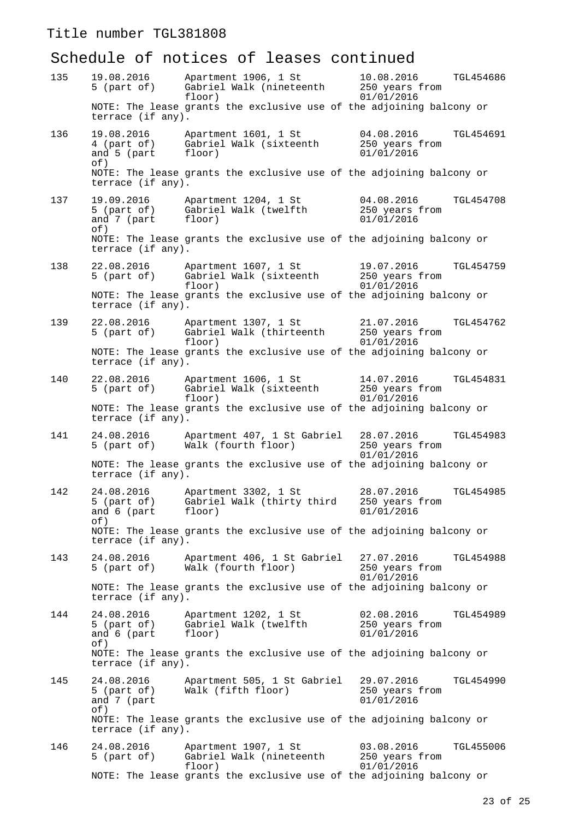# Schedule of notices of leases continued

| 135 | 19.08.2016<br>5 (part of)                         | Apartment 1906, 1 St<br>Gabriel Walk (nineteenth<br>floor)           | 10.08.2016<br>TGL454686<br>250 years from<br>01/01/2016        |
|-----|---------------------------------------------------|----------------------------------------------------------------------|----------------------------------------------------------------|
|     | terrace (if any).                                 | NOTE: The lease grants the exclusive use of the adjoining balcony or |                                                                |
| 136 | 19.08.2016<br>4 (part of)<br>and 5 (part<br>of)   | Apartment 1601, 1 St<br>Gabriel Walk (sixteenth<br>floor)            | 04.08.2016<br>TGL454691<br>250 years from<br>01/01/2016        |
|     | terrace (if any).                                 | NOTE: The lease grants the exclusive use of the adjoining balcony or |                                                                |
| 137 | 19.09.2016<br>5 (part of)<br>and 7 (part<br>of)   | Apartment 1204, 1 St<br>Gabriel Walk (twelfth<br>floor)              | 04.08.2016<br><b>TGL454708</b><br>250 years from<br>01/01/2016 |
|     | terrace (if any).                                 | NOTE: The lease grants the exclusive use of the adjoining balcony or |                                                                |
| 138 | 22.08.2016<br>5 (part of)                         | Apartment 1607, 1 St<br>Gabriel Walk (sixteenth<br>floor)            | 19.07.2016<br>TGL454759<br>250 years from<br>01/01/2016        |
|     | terrace (if any).                                 | NOTE: The lease grants the exclusive use of the adjoining balcony or |                                                                |
| 139 | 22.08.2016<br>5 (part of)                         | Apartment 1307, 1 St<br>Gabriel Walk (thirteenth<br>floor)           | TGL454762<br>21.07.2016<br>250 years from<br>01/01/2016        |
|     | terrace (if any).                                 | NOTE: The lease grants the exclusive use of the adjoining balcony or |                                                                |
| 140 | 22.08.2016<br>5 (part of)                         | Apartment 1606, 1 St<br>Gabriel Walk (sixteenth<br>floor)            | 14.07.2016<br>TGL454831<br>250 years from<br>01/01/2016        |
|     | terrace (if any).                                 | NOTE: The lease grants the exclusive use of the adjoining balcony or |                                                                |
| 141 | 24.08.2016<br>5 (part of)                         | Apartment 407, 1 St Gabriel<br>Walk (fourth floor)                   | 28.07.2016<br>TGL454983<br>250 years from<br>01/01/2016        |
|     | terrace (if any).                                 | NOTE: The lease grants the exclusive use of the adjoining balcony or |                                                                |
| 142 | 24.08.2016<br>$5$ (part of)<br>and 6 (part<br>of) | Apartment 3302, 1 St<br>Gabriel Walk (thirty third<br>floor)         | 28.07.2016<br>TGL454985<br>250 years from<br>01/01/2016        |
|     | terrace (if any).                                 | NOTE: The lease grants the exclusive use of the adjoining balcony or |                                                                |
| 143 | 24.08.2016<br>5 (part of)                         | Apartment 406, 1 St Gabriel<br>Walk (fourth floor)                   | 27.07.2016<br>TGL454988<br>250 years from<br>01/01/2016        |
|     | terrace (if any).                                 | NOTE: The lease grants the exclusive use of the adjoining balcony or |                                                                |
| 144 | 24.08.2016<br>5 (part of)<br>and 6 (part<br>of)   | Apartment 1202, 1 St<br>Gabriel Walk (twelfth<br>floor)              | 02.08.2016<br>TGL454989<br>250 years from<br>01/01/2016        |
|     | terrace (if any).                                 | NOTE: The lease grants the exclusive use of the adjoining balcony or |                                                                |
| 145 | 24.08.2016<br>5 (part of)<br>and 7 (part<br>of)   | Apartment 505, 1 St Gabriel<br>Walk (fifth floor)                    | 29.07.2016<br>TGL454990<br>250 years from<br>01/01/2016        |
|     | terrace (if any).                                 | NOTE: The lease grants the exclusive use of the adjoining balcony or |                                                                |
| 146 | 24.08.2016<br>5 (part of)                         | Apartment 1907, 1 St<br>Gabriel Walk (nineteenth<br>floor)           | 03.08.2016<br>TGL455006<br>250 years from<br>01/01/2016        |
|     |                                                   | NOTE: The lease grants the exclusive use of the adjoining balcony or |                                                                |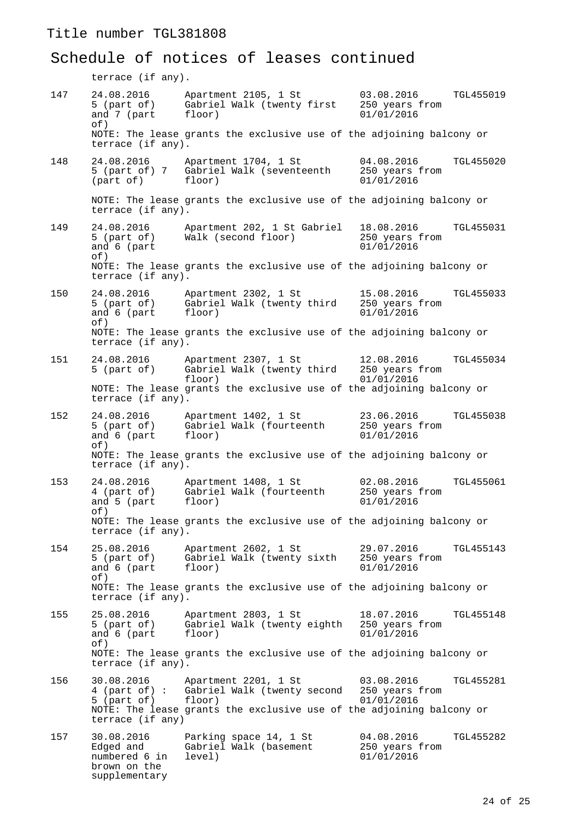# Schedule of notices of leases continued

terrace (if any).

| 147 | 24.08.2016<br>5 (part of)<br>and 7 (part<br>of)                           | Apartment 2105, 1 St<br>Gabriel Walk (twenty first<br>floor)                                                                                                      | 03.08.2016<br>250 years from<br>01/01/2016 | TGL455019        |
|-----|---------------------------------------------------------------------------|-------------------------------------------------------------------------------------------------------------------------------------------------------------------|--------------------------------------------|------------------|
|     | terrace (if any).                                                         | NOTE: The lease grants the exclusive use of the adjoining balcony or                                                                                              |                                            |                  |
| 148 | 24.08.2016<br>part of)                                                    | Apartment 1704, 1 St<br>5 (part of) 7 Gabriel Walk (seventeenth<br>floor)                                                                                         | 04.08.2016<br>250 years from<br>01/01/2016 | TGL455020        |
|     | terrace (if any).                                                         | NOTE: The lease grants the exclusive use of the adjoining balcony or                                                                                              |                                            |                  |
| 149 | 24.08.2016<br>5 (part of)<br>and 6 (part<br>of)                           | Apartment 202, 1 St Gabriel<br>Walk (second floor)                                                                                                                | 18.08.2016<br>250 years from<br>01/01/2016 | TGL455031        |
|     | terrace (if any).                                                         | NOTE: The lease grants the exclusive use of the adjoining balcony or                                                                                              |                                            |                  |
| 150 | 24.08.2016<br>5 (part of)<br>and 6 (part<br>of)                           | Apartment 2302, 1 St<br>Gabriel Walk (twenty third<br>floor)                                                                                                      | 15.08.2016<br>250 years from<br>01/01/2016 | TGL455033        |
|     | terrace (if any).                                                         | NOTE: The lease grants the exclusive use of the adjoining balcony or                                                                                              |                                            |                  |
| 151 | 24.08.2016<br>5 (part of)                                                 | Apartment 2307, 1 St<br>Gabriel Walk (twenty third 250 years from<br>floor)                                                                                       | 12.08.2016<br>01/01/2016                   | TGL455034        |
|     | terrace (if any).                                                         | NOTE: The lease grants the exclusive use of the adjoining balcony or                                                                                              |                                            |                  |
| 152 | 24.08.2016<br>5 (part of)<br>and 6 (part<br>of)                           | Apartment 1402, 1 St<br>Gabriel Walk (fourteenth<br>floor)                                                                                                        | 23.06.2016<br>250 years from<br>01/01/2016 | <b>TGL455038</b> |
|     | terrace (if any).                                                         | NOTE: The lease grants the exclusive use of the adjoining balcony or                                                                                              |                                            |                  |
| 153 | 24.08.2016<br>4 (part of)<br>and 5 (part<br>of)                           | Apartment 1408, 1 St<br>Gabriel Walk (fourteenth<br>floor)                                                                                                        | 02.08.2016<br>250 years from<br>01/01/2016 | TGL455061        |
|     | terrace (if any).                                                         | NOTE: The lease grants the exclusive use of the adjoining balcony or                                                                                              |                                            |                  |
| 154 | 25.08.2016<br>5 (part of)<br>and 6 (part<br>of)                           | Apartment 2602, 1 St<br>Gabriel Walk (twenty sixth<br>floor)                                                                                                      | 29.07.2016<br>250 years from<br>01/01/2016 | TGL455143        |
|     | terrace (if any).                                                         | NOTE: The lease grants the exclusive use of the adjoining balcony or                                                                                              |                                            |                  |
| 155 | 25.08.2016<br>5 (part of)<br>and 6 (part<br>of)                           | Apartment 2803, 1 St<br>Gabriel Walk (twenty eighth<br>floor)                                                                                                     | 18.07.2016<br>250 years from<br>01/01/2016 | <b>TGL455148</b> |
|     | terrace (if any).                                                         | NOTE: The lease grants the exclusive use of the adjoining balcony or                                                                                              |                                            |                  |
| 156 | 30.08.2016<br>5 (part of)<br>terrace (if any)                             | Apartment 2201, 1 St<br>4 (part of): Gabriel Walk (twenty second 250 years from<br>floor)<br>NOTE: The lease grants the exclusive use of the adjoining balcony or | 03.08.2016<br>01/01/2016                   | TGL455281        |
| 157 | 30.08.2016<br>Edged and<br>numbered 6 in<br>brown on the<br>supplementary | Parking space 14, 1 St<br>Gabriel Walk (basement<br>level)                                                                                                        | 04.08.2016<br>250 years from<br>01/01/2016 | TGL455282        |